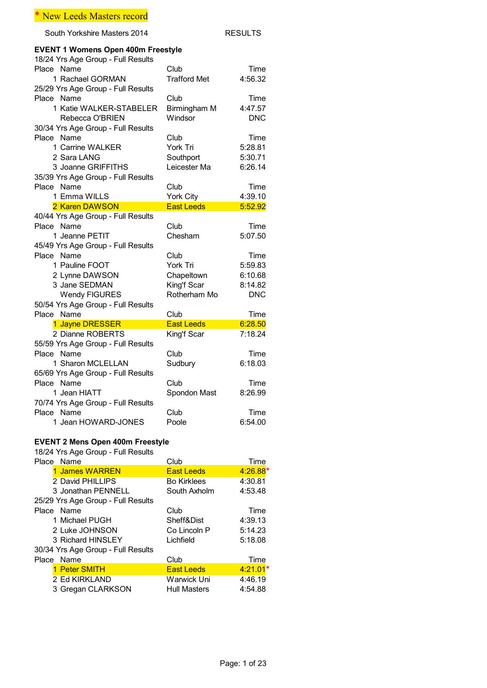South Yorkshire Masters 2014 RESULTS

# **EVENT 1 Womens Open 400m Freestyle**

| 18/24 Yrs Age Group - Full Results |                     |            |
|------------------------------------|---------------------|------------|
| Place Name                         | Club                | Time       |
| 1 Rachael GORMAN                   | <b>Trafford Met</b> | 4:56.32    |
| 25/29 Yrs Age Group - Full Results |                     |            |
| Place Name                         | Club                | Time       |
| 1 Katie WALKER-STABELER            | Birmingham M        | 4:47.57    |
| Rebecca O'BRIEN                    | Windsor             | <b>DNC</b> |
| 30/34 Yrs Age Group - Full Results |                     |            |
| Place Name                         | Club                | Time       |
| 1 Carrine WALKER                   | York Tri            | 5:28.81    |
| 2 Sara LANG                        | Southport           | 5:30.71    |
| 3 Joanne GRIFFITHS                 | Leicester Ma        | 6:26.14    |
| 35/39 Yrs Age Group - Full Results |                     |            |
| Place Name                         | Club                | Time       |
| 1 Fmma WILLS                       | York City           | 4:39.10    |
| 2 Karen DAWSON                     | <b>East Leeds</b>   | 5:52.92    |
| 40/44 Yrs Age Group - Full Results |                     |            |
| Place Name                         | Club                | Time       |
| 1 Jeanne PETIT                     | Chesham             | 5:07.50    |
| 45/49 Yrs Age Group - Full Results |                     |            |
| Place Name                         | Club                | Time       |
| 1 Pauline FOOT                     | York Tri            | 5:59.83    |
| 2 Lynne DAWSON                     | Chapeltown          | 6:10.68    |
| 3 Jane SEDMAN                      | King'f Scar         | 8:14.82    |
| <b>Wendy FIGURES</b>               | Rotherham Mo        | <b>DNC</b> |
| 50/54 Yrs Age Group - Full Results |                     |            |
| Place Name                         | Club                | Time       |
| 1 Jayne DRESSER                    | <b>East Leeds</b>   | 6:28.50    |
| 2 Dianne ROBERTS                   | King'f Scar         | 7:18.24    |
| 55/59 Yrs Age Group - Full Results |                     |            |
| Place Name                         | Club                | Time       |
| 1 Sharon MCLELLAN                  | Sudbury             | 6:18.03    |
| 65/69 Yrs Age Group - Full Results |                     |            |
| Place Name                         | Club                | Time       |
| 1 Jean HIATT                       | Spondon Mast        | 8:26.99    |
| 70/74 Yrs Age Group - Full Results |                     |            |
| Place Name                         | Club                | Time       |
| 1 Jean HOWARD-JONES                | Poole               | 6:54.00    |

### **EVENT 2 Mens Open 400m Freestyle**

| Place Name                         | Club                | Time       |
|------------------------------------|---------------------|------------|
| 1 James WARREN                     | <b>East Leeds</b>   | $4:26.88*$ |
| 2 David PHILLIPS                   | <b>Bo Kirklees</b>  | 4:30.81    |
| 3 Jonathan PENNELL                 | South Axholm        | 4:53.48    |
| 25/29 Yrs Age Group - Full Results |                     |            |
| Place Name                         | Club                | Time       |
| 1 Michael PUGH                     | Sheff&Dist          | 4:39.13    |
| 2 Luke JOHNSON                     | Co Lincoln P        | 5:14.23    |
| 3 Richard HINSLEY                  | Lichfield           | 5:18.08    |
| 30/34 Yrs Age Group - Full Results |                     |            |
| Place Name                         | Club                | Time       |
| 1 Peter SMITH                      | <b>East Leeds</b>   | $4:21.01*$ |
| 2 Ed KIRKLAND                      | Warwick Uni         | 4:46.19    |
| 3 Gregan CLARKSON                  | <b>Hull Masters</b> | 4:54.88    |
|                                    |                     |            |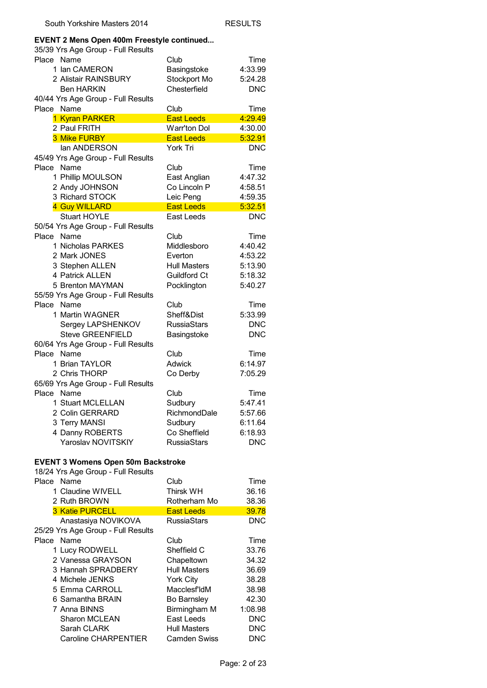# **EVENT 2 Mens Open 400m Freestyle continued...**

| EVEN I 2 Mens Open 400m Freestyle continued<br>35/39 Yrs Age Group - Full Results |                            |                       |
|-----------------------------------------------------------------------------------|----------------------------|-----------------------|
| Place<br>Name                                                                     | Club                       | Time                  |
| 1 Ian CAMERON                                                                     | Basingstoke                | 4:33.99               |
| 2 Alistair RAINSBURY                                                              | Stockport Mo               | 5:24.28               |
| <b>Ben HARKIN</b>                                                                 | Chesterfield               | <b>DNC</b>            |
| 40/44 Yrs Age Group - Full Results                                                |                            |                       |
| Name<br>Place                                                                     | Club                       | Time                  |
| 1 Kyran PARKER                                                                    | <b>East Leeds</b>          | 4:29.49               |
| 2 Paul FRITH                                                                      | <b>Warr'ton Dol</b>        | 4:30.00               |
| 3 Mike FURBY                                                                      | <b>East Leeds</b>          | 5:32.91               |
| lan ANDERSON                                                                      | York Tri                   | <b>DNC</b>            |
| 45/49 Yrs Age Group - Full Results                                                |                            |                       |
| Place<br>Name                                                                     | Club                       | Time                  |
| 1 Phillip MOULSON                                                                 | East Anglian               | 4:47.32               |
| 2 Andy JOHNSON                                                                    | Co Lincoln P               | 4:58.51               |
| 3 Richard STOCK                                                                   | Leic Peng                  | 4:59.35               |
| 4 Guy WILLARD                                                                     | <b>East Leeds</b>          | 5:32.51               |
| <b>Stuart HOYLE</b>                                                               | East Leeds                 | <b>DNC</b>            |
| 50/54 Yrs Age Group - Full Results                                                |                            |                       |
| Place<br>Name                                                                     | Club                       | Time                  |
| 1 Nicholas PARKES                                                                 | Middlesboro                | 4:40.42               |
| 2 Mark JONES                                                                      | Everton                    | 4:53.22               |
| 3 Stephen ALLEN                                                                   | <b>Hull Masters</b>        | 5:13.90               |
| 4 Patrick ALLEN                                                                   | Guildford Ct               | 5:18.32               |
| 5 Brenton MAYMAN                                                                  | Pocklington                | 5:40.27               |
| 55/59 Yrs Age Group - Full Results                                                |                            |                       |
| Place<br>Name                                                                     | Club                       | Time                  |
| 1 Martin WAGNER                                                                   | Sheff&Dist                 | 5:33.99               |
| Sergey LAPSHENKOV                                                                 | <b>RussiaStars</b>         | <b>DNC</b>            |
| <b>Steve GREENFIELD</b>                                                           | Basingstoke                | <b>DNC</b>            |
| 60/64 Yrs Age Group - Full Results<br>Place<br>Name                               | Club                       |                       |
| 1 Brian TAYLOR                                                                    | Adwick                     | Time<br>6:14.97       |
| 2 Chris THORP                                                                     | Co Derby                   | 7:05.29               |
| 65/69 Yrs Age Group - Full Results                                                |                            |                       |
| Place<br>Name                                                                     | Club                       | Time                  |
| 1 Stuart MCLELLAN                                                                 | Sudbury                    | 5:47.41               |
| 2 Colin GERRARD                                                                   | RichmondDale               | 5:57.66               |
| 3 Terry MANSI                                                                     | Sudbury                    | 6:11.64               |
| 4 Danny ROBERTS                                                                   | Co Sheffield               | 6:18.93               |
| Yaroslav NOVITSKIY                                                                | <b>RussiaStars</b>         | <b>DNC</b>            |
|                                                                                   |                            |                       |
| <b>EVENT 3 Womens Open 50m Backstroke</b>                                         |                            |                       |
| 18/24 Yrs Age Group - Full Results                                                |                            |                       |
| Place<br>Name                                                                     | Club                       | Time                  |
| 1 Claudine WIVELL                                                                 | <b>Thirsk WH</b>           | 36.16                 |
| 2 Ruth BROWN                                                                      | Rotherham Mo               | 38.36                 |
| 3 Katie PURCELL                                                                   | <b>East Leeds</b>          | 39.78                 |
| Anastasiya NOVIKOVA                                                               | <b>RussiaStars</b>         | <b>DNC</b>            |
| 25/29 Yrs Age Group - Full Results                                                |                            |                       |
| Name<br>Place                                                                     | Club                       | Time                  |
| 1 Lucy RODWELL                                                                    | Sheffield C                | 33.76                 |
| 2 Vanessa GRAYSON                                                                 | Chapeltown                 | 34.32                 |
| 3 Hannah SPRADBERY                                                                | <b>Hull Masters</b>        | 36.69                 |
| 4 Michele JENKS                                                                   | York City                  | 38.28                 |
| 5 Emma CARROLL                                                                    | Macclesf'ldM               | 38.98                 |
| 6 Samantha BRAIN                                                                  | <b>Bo Barnsley</b>         | 42.30                 |
| 7 Anna BINNS                                                                      | Birmingham M<br>East Leeds | 1:08.98<br><b>DNC</b> |
| <b>Sharon MCLEAN</b><br>Sarah CLARK                                               | <b>Hull Masters</b>        | <b>DNC</b>            |
| Caroline CHARPENTIER                                                              | <b>Camden Swiss</b>        | <b>DNC</b>            |
|                                                                                   |                            |                       |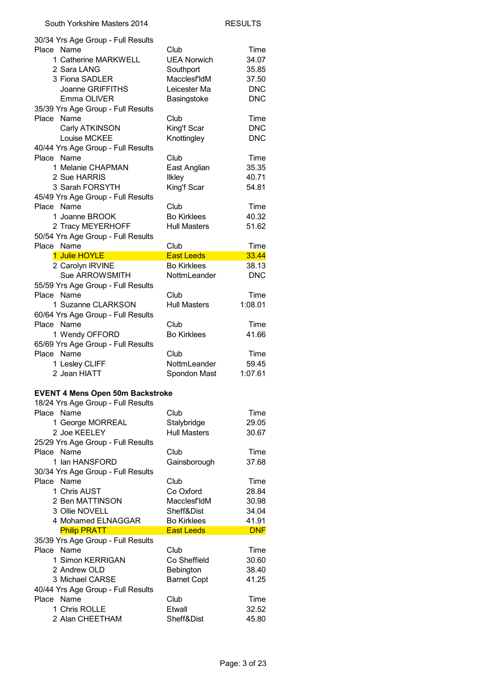| 30/34 Yrs Age Group - Full Results      |                      |                |
|-----------------------------------------|----------------------|----------------|
| Place Name                              | Club                 | Time           |
| 1 Catherine MARKWELL                    | <b>UEA Norwich</b>   | 34.07          |
| 2 Sara LANG                             | Southport            | 35.85          |
| 3 Fiona SADLER                          | Macclesf'ldM         | 37.50          |
| Joanne GRIFFITHS                        | Leicester Ma         | <b>DNC</b>     |
| Emma OLIVER                             | Basingstoke          | <b>DNC</b>     |
| 35/39 Yrs Age Group - Full Results      |                      |                |
| Place Name                              | Club                 | Time           |
| Carly ATKINSON                          | King'f Scar          | <b>DNC</b>     |
| Louise MCKEE                            | Knottingley          | <b>DNC</b>     |
| 40/44 Yrs Age Group - Full Results      |                      |                |
| Place Name                              | Club                 | Time           |
| 1 Melanie CHAPMAN                       | East Anglian         | 35.35          |
| 2 Sue HARRIS                            | <b>Ilkley</b>        | 40.71          |
|                                         |                      |                |
| 3 Sarah FORSYTH                         | King'f Scar          | 54.81          |
| 45/49 Yrs Age Group - Full Results      |                      |                |
| Place Name                              | Club                 | Time           |
| 1 Joanne BROOK                          | <b>Bo Kirklees</b>   | 40.32          |
| 2 Tracy MEYERHOFF                       | <b>Hull Masters</b>  | 51.62          |
| 50/54 Yrs Age Group - Full Results      |                      |                |
| Place Name                              | Club                 | Time           |
| 1 Julie HOYLE                           | <b>East Leeds</b>    | 33.44          |
| 2 Carolyn IRVINE                        | <b>Bo Kirklees</b>   | 38.13          |
| Sue ARROWSMITH                          | NottmLeander         | <b>DNC</b>     |
| 55/59 Yrs Age Group - Full Results      |                      |                |
| Place Name                              | Club                 | Time           |
| 1 Suzanne CLARKSON                      | <b>Hull Masters</b>  | 1:08.01        |
| 60/64 Yrs Age Group - Full Results      |                      |                |
|                                         | Club                 | Time           |
|                                         |                      |                |
| Place Name                              |                      |                |
| 1 Wendy OFFORD                          | <b>Bo Kirklees</b>   | 41.66          |
| 65/69 Yrs Age Group - Full Results      |                      |                |
| Place Name                              | Club                 | Time           |
| 1 Lesley CLIFF                          | NottmLeander         | 59.45          |
| 2 Jean HIATT                            | Spondon Mast         | 1:07.61        |
|                                         |                      |                |
| <b>EVENT 4 Mens Open 50m Backstroke</b> |                      |                |
| 18/24 Yrs Age Group - Full Results      |                      |                |
| Place Name                              | Club                 | Time           |
| 1 George MORREAL                        | Stalybridge          | 29.05          |
| 2 Joe KEELEY                            | <b>Hull Masters</b>  | 30.67          |
| 25/29 Yrs Age Group - Full Results      |                      |                |
| Place Name                              | Club                 | Time           |
| 1 Ian HANSFORD                          | Gainsborough         | 37.68          |
| 30/34 Yrs Age Group - Full Results      |                      |                |
| Place Name                              | Club                 | Time           |
| 1 Chris AUST                            | Co Oxford            | 28.84          |
| 2 Ben MATTINSON                         | Macclesf'ldM         | 30.98          |
|                                         | Sheff&Dist           |                |
| 3 Ollie NOVELL                          |                      | 34.04          |
| 4 Mohamed ELNAGGAR                      | <b>Bo Kirklees</b>   | 41.91          |
| <b>Philip PRATT</b>                     | <b>East Leeds</b>    | <b>DNF</b>     |
| 35/39 Yrs Age Group - Full Results      |                      |                |
| Place Name                              | Club                 | Time           |
| 1 Simon KERRIGAN                        | Co Sheffield         | 30.60          |
| 2 Andrew OLD                            | Bebington            | 38.40          |
| 3 Michael CARSE                         | <b>Barnet Copt</b>   | 41.25          |
| 40/44 Yrs Age Group - Full Results      |                      |                |
| Place Name                              | Club                 | Time           |
| 1 Chris ROLLE<br>2 Alan CHEETHAM        | Etwall<br>Sheff&Dist | 32.52<br>45.80 |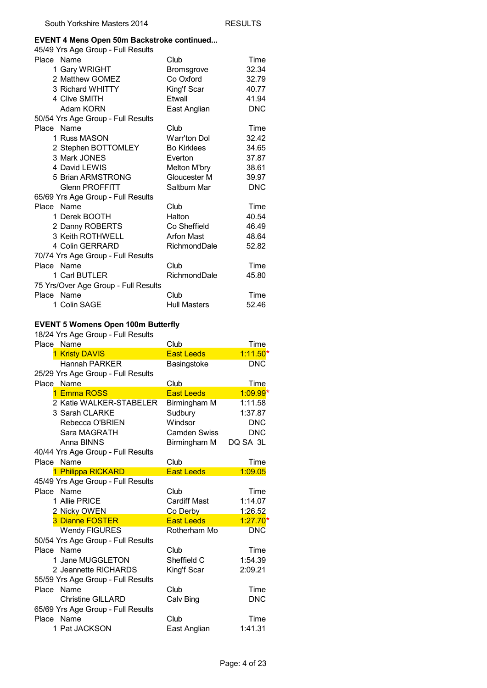#### **EVENT 4 Mens Open 50m Backstroke continued...**

| 45/49 Yrs Age Group - Full Results   |                     |            |
|--------------------------------------|---------------------|------------|
| Place Name                           | Club                | Time       |
| 1 Gary WRIGHT                        | Bromsgrove          | 32.34      |
| 2 Matthew GOMEZ                      | Co Oxford           | 32.79      |
| 3 Richard WHITTY                     | King'f Scar         | 40.77      |
| 4 Clive SMITH                        | Etwall              | 41.94      |
| Adam KORN                            | East Anglian        | <b>DNC</b> |
| 50/54 Yrs Age Group - Full Results   |                     |            |
| Place Name                           | Club                | Time       |
| 1 Russ MASON                         | Warr'ton Dol        | 32.42      |
| 2 Stephen BOTTOMLEY                  | <b>Bo Kirklees</b>  | 34.65      |
| 3 Mark JONES                         | Everton             | 37.87      |
| 4 David LEWIS                        | Melton M'bry        | 38.61      |
| 5 Brian ARMSTRONG                    | Gloucester M        | 39.97      |
| <b>Glenn PROFFITT</b>                | Saltburn Mar        | <b>DNC</b> |
| 65/69 Yrs Age Group - Full Results   |                     |            |
| Place Name                           | Club                | Time       |
| 1 Derek BOOTH                        | Halton              | 40.54      |
| 2 Danny ROBERTS                      | Co Sheffield        | 46.49      |
| 3 Keith ROTHWELL                     | <b>Arfon Mast</b>   | 48.64      |
| 4 Colin GERRARD                      | RichmondDale        | 52.82      |
| 70/74 Yrs Age Group - Full Results   |                     |            |
| Place Name                           | Club                | Time       |
| 1 Carl BUTLER                        | RichmondDale        | 45.80      |
| 75 Yrs/Over Age Group - Full Results |                     |            |
| Place Name                           | Club                | Time       |
| 1 Colin SAGE                         | <b>Hull Masters</b> | 52.46      |

#### **EVENT 5 Womens Open 100m Butterfly**

| Place Name                         | Club <sub></sub>    | Time       |
|------------------------------------|---------------------|------------|
| 1 Kristy DAVIS                     | <b>East Leeds</b>   | $1:11.50*$ |
| Hannah PARKFR                      | Basingstoke         | <b>DNC</b> |
| 25/29 Yrs Age Group - Full Results |                     |            |
| Place Name                         | Club                | Time       |
| 1 Emma ROSS                        | <b>East Leeds</b>   | $1:09.99*$ |
| 2 Katie WALKER-STABELER            | Birmingham M        | 1:11.58    |
| 3 Sarah CLARKE                     | Sudbury             | 1:37.87    |
| Rebecca O'BRIEN                    | Windsor             | <b>DNC</b> |
| Sara MAGRATH                       | Camden Swiss        | <b>DNC</b> |
| Anna BINNS                         | Birmingham M        | DQ SA 3L   |
| 40/44 Yrs Age Group - Full Results |                     |            |
| Place Name                         | Club                | Time       |
| 1 Philippa RICKARD                 | <b>East Leeds</b>   | 1:09.05    |
| 45/49 Yrs Age Group - Full Results |                     |            |
| Place Name                         | Club                | Time       |
| 1 Allie PRICE                      | <b>Cardiff Mast</b> | 1:14.07    |
| 2 Nicky OWEN                       | Co Derby            | 1:26.52    |
| 3 Dianne FOSTER                    | <b>East Leeds</b>   | $1:27.70*$ |
| <b>Wendy FIGURES</b>               | Rotherham Mo        | <b>DNC</b> |
| 50/54 Yrs Age Group - Full Results |                     |            |
| Place Name                         | Club                | Time       |
| 1 Jane MUGGLETON                   | Sheffield C         | 1:54.39    |
| 2 Jeannette RICHARDS               | King'f Scar         | 2:09.21    |
| 55/59 Yrs Age Group - Full Results |                     |            |
| Name<br>Place                      | Club                | Time       |
| <b>Christine GILLARD</b>           | Calv Bing           | <b>DNC</b> |
| 65/69 Yrs Age Group - Full Results |                     |            |
| Place Name                         | Club                | Time       |
| 1 Pat JACKSON                      | East Anglian        | 1:41.31    |
|                                    |                     |            |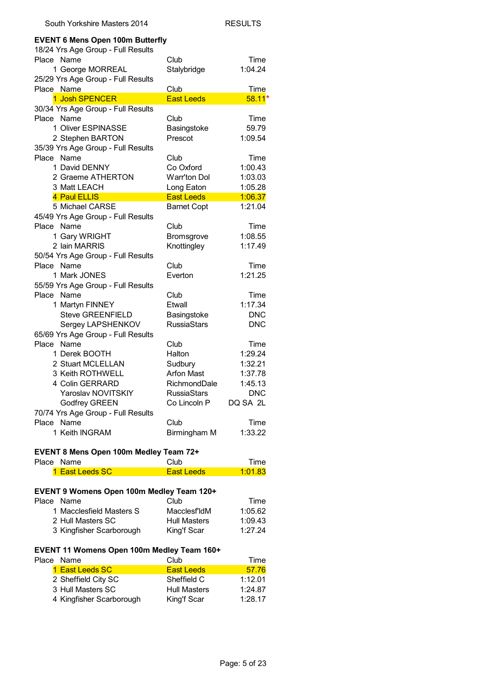| <b>EVENT 6 Mens Open 100m Butterfly</b>          |                                   |                 |
|--------------------------------------------------|-----------------------------------|-----------------|
| 18/24 Yrs Age Group - Full Results               |                                   |                 |
| Place Name                                       | Club                              | Time            |
| 1 George MORREAL                                 | Stalybridge                       | 1:04.24         |
| 25/29 Yrs Age Group - Full Results<br>Place Name | Club                              | Time            |
| 1 Josh SPENCER                                   | <b>East Leeds</b>                 | $58.11*$        |
| 30/34 Yrs Age Group - Full Results               |                                   |                 |
| Place Name                                       | Club                              | Time            |
| 1 Oliver ESPINASSE                               | Basingstoke                       | 59.79           |
| 2 Stephen BARTON                                 | Prescot                           | 1:09.54         |
| 35/39 Yrs Age Group - Full Results               |                                   |                 |
| Place Name                                       | Club                              | Time            |
| 1 David DENNY                                    | Co Oxford                         | 1:00.43         |
| 2 Graeme ATHERTON                                | Warr'ton Dol                      | 1:03.03         |
| 3 Matt LEACH                                     | Long Eaton                        | 1:05.28         |
| 4 Paul ELLIS                                     | <b>East Leeds</b>                 | 1:06.37         |
| 5 Michael CARSE                                  | <b>Barnet Copt</b>                | 1:21.04         |
| 45/49 Yrs Age Group - Full Results               |                                   |                 |
| Place Name                                       | Club                              | Time            |
| 1 Gary WRIGHT                                    | Bromsgrove                        | 1:08.55         |
| 2 Iain MARRIS                                    | Knottingley                       | 1:17.49         |
| 50/54 Yrs Age Group - Full Results               |                                   |                 |
| Place Name                                       | Club                              | Time            |
| 1 Mark JONES                                     | Everton                           | 1:21.25         |
| 55/59 Yrs Age Group - Full Results               |                                   |                 |
| Place Name                                       |                                   |                 |
|                                                  | Club<br>Etwall                    | Time<br>1:17.34 |
| 1 Martyn FINNEY<br><b>Steve GREENFIELD</b>       |                                   |                 |
|                                                  | Basingstoke<br><b>RussiaStars</b> | <b>DNC</b>      |
| Sergey LAPSHENKOV                                |                                   | <b>DNC</b>      |
| 65/69 Yrs Age Group - Full Results<br>Place Name |                                   |                 |
|                                                  | Club                              | Time            |
| 1 Derek BOOTH                                    | Halton                            | 1:29.24         |
| 2 Stuart MCLELLAN                                | Sudbury                           | 1:32.21         |
| 3 Keith ROTHWELL                                 | <b>Arfon Mast</b>                 | 1:37.78         |
| 4 Colin GERRARD                                  | RichmondDale                      | 1:45.13         |
| Yaroslav NOVITSKIY                               | <b>RussiaStars</b>                | <b>DNC</b>      |
| <b>Godfrey GREEN</b>                             | Co Lincoln P                      | DQ SA 2L        |
| 70/74 Yrs Age Group - Full Results               |                                   |                 |
| Place<br>Name                                    | Club                              | Time            |
| 1 Keith INGRAM                                   | Birmingham M                      | 1:33.22         |

#### **EVENT 8 Mens Open 100m Medley Team 72+**

| Place Name |                                           | Club                | Time    |
|------------|-------------------------------------------|---------------------|---------|
|            | 1 East Leeds SC                           | <b>East Leeds</b>   | 1:01.83 |
|            |                                           |                     |         |
|            | EVENT 9 Womens Open 100m Medley Team 120+ |                     |         |
| Place Name |                                           | Club                | Time    |
|            |                                           |                     |         |
|            | 1 Macclesfield Masters S                  | Macclesf'ldM        | 1:05.62 |
|            | 2 Hull Masters SC                         | <b>Hull Masters</b> | 1:09.43 |

# **EVENT 11 Womens Open 100m Medley Team 160+**

| Place Name               | Club                | Time    |
|--------------------------|---------------------|---------|
| 1 East Leeds SC          | <b>East Leeds</b>   | 57.76   |
| 2 Sheffield City SC      | Sheffield C         | 1:12.01 |
| 3 Hull Masters SC        | <b>Hull Masters</b> | 1:24.87 |
| 4 Kingfisher Scarborough | King'f Scar         | 1:28.17 |
|                          |                     |         |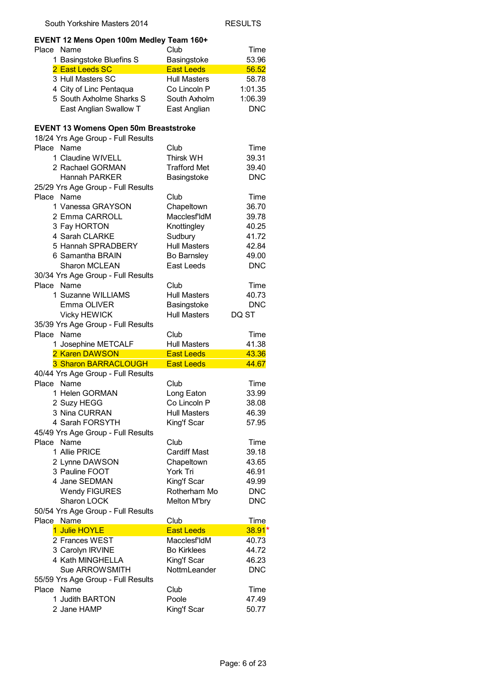| Place<br>Name<br>Club<br>Time<br>1 Basingstoke Bluefins S<br>Basingstoke<br>53.96<br>2 East Leeds SC<br><b>East Leeds</b><br>56.52<br>3 Hull Masters SC<br><b>Hull Masters</b><br>58.78<br>4 City of Linc Pentaqua<br>1:01.35<br>Co Lincoln P<br>5 South Axholme Sharks S<br>South Axholm<br>1:06.39<br>East Anglian Swallow T<br><b>DNC</b><br>East Anglian<br><b>EVENT 13 Womens Open 50m Breaststroke</b><br>18/24 Yrs Age Group - Full Results<br>Name<br>Club<br>Place<br>Time<br>1 Claudine WIVELL<br>39.31<br><b>Thirsk WH</b><br>2 Rachael GORMAN<br><b>Trafford Met</b><br>39.40<br><b>Hannah PARKER</b><br>Basingstoke<br><b>DNC</b><br>25/29 Yrs Age Group - Full Results<br>Place<br>Name<br>Club<br>Time<br>Chapeltown<br>1 Vanessa GRAYSON<br>36.70<br>Macclesf'ldM<br>2 Emma CARROLL<br>39.78<br>3 Fay HORTON<br>Knottingley<br>40.25<br>4 Sarah CLARKE<br>Sudbury<br>41.72<br>5 Hannah SPRADBERY<br><b>Hull Masters</b><br>42.84<br>6 Samantha BRAIN<br>Bo Barnsley<br>49.00<br>East Leeds<br><b>Sharon MCLEAN</b><br><b>DNC</b><br>30/34 Yrs Age Group - Full Results<br>Place<br>Name<br>Club<br>Time<br>1 Suzanne WILLIAMS<br><b>Hull Masters</b><br>40.73<br>Emma OLIVER<br>Basingstoke<br><b>DNC</b><br><b>Vicky HEWICK</b><br><b>Hull Masters</b><br>DQ ST<br>35/39 Yrs Age Group - Full Results<br>Name<br>Place<br>Club<br>Time<br>1 Josephine METCALF<br>41.38<br><b>Hull Masters</b><br>2 Karen DAWSON<br>43.36<br><b>East Leeds</b><br>3 Sharon BARRACLOUGH<br><b>East Leeds</b><br>44.67<br>40/44 Yrs Age Group - Full Results<br>Place<br>Name<br>Club<br>Time<br>1 Helen GORMAN<br>33.99<br>Long Eaton<br>2 Suzy HEGG<br>Co Lincoln P<br>38.08<br>3 Nina CURRAN<br><b>Hull Masters</b><br>46.39<br>4 Sarah FORSYTH<br>King'f Scar<br>57.95<br>45/49 Yrs Age Group - Full Results<br>Place Name<br>Club<br>Time<br>1 Allie PRICE<br><b>Cardiff Mast</b><br>39.18<br>2 Lynne DAWSON<br>Chapeltown<br>43.65<br>3 Pauline FOOT<br>York Tri<br>46.91<br>4 Jane SEDMAN<br>King'f Scar<br>49.99<br>Rotherham Mo<br><b>Wendy FIGURES</b><br><b>DNC</b><br>Sharon LOCK<br>Melton M'bry<br><b>DNC</b><br>50/54 Yrs Age Group - Full Results<br>Place Name<br>Club<br>Time<br>1 Julie HOYLE<br><b>East Leeds</b><br>38.91*<br>2 Frances WEST<br>Macclesf'ldM<br>40.73<br>3 Carolyn IRVINE<br><b>Bo Kirklees</b><br>44.72<br>4 Kath MINGHELLA<br>King'f Scar<br>46.23<br>NottmLeander<br>Sue ARROWSMITH<br><b>DNC</b><br>55/59 Yrs Age Group - Full Results<br>Place Name<br>Club<br>Time<br>1 Judith BARTON<br>Poole<br>47.49<br>2 Jane HAMP<br>King'f Scar<br>50.77 | EVENT 12 Mens Open 100m Medley Team 160+ |  |
|-----------------------------------------------------------------------------------------------------------------------------------------------------------------------------------------------------------------------------------------------------------------------------------------------------------------------------------------------------------------------------------------------------------------------------------------------------------------------------------------------------------------------------------------------------------------------------------------------------------------------------------------------------------------------------------------------------------------------------------------------------------------------------------------------------------------------------------------------------------------------------------------------------------------------------------------------------------------------------------------------------------------------------------------------------------------------------------------------------------------------------------------------------------------------------------------------------------------------------------------------------------------------------------------------------------------------------------------------------------------------------------------------------------------------------------------------------------------------------------------------------------------------------------------------------------------------------------------------------------------------------------------------------------------------------------------------------------------------------------------------------------------------------------------------------------------------------------------------------------------------------------------------------------------------------------------------------------------------------------------------------------------------------------------------------------------------------------------------------------------------------------------------------------------------------------------------------------------------------------------------------------------------------------------------------------------------------------------------------------------------------------------------------------------------------------------------------------------------------------------------------------------------------------------------------------------------------------------|------------------------------------------|--|
|                                                                                                                                                                                                                                                                                                                                                                                                                                                                                                                                                                                                                                                                                                                                                                                                                                                                                                                                                                                                                                                                                                                                                                                                                                                                                                                                                                                                                                                                                                                                                                                                                                                                                                                                                                                                                                                                                                                                                                                                                                                                                                                                                                                                                                                                                                                                                                                                                                                                                                                                                                                         |                                          |  |
|                                                                                                                                                                                                                                                                                                                                                                                                                                                                                                                                                                                                                                                                                                                                                                                                                                                                                                                                                                                                                                                                                                                                                                                                                                                                                                                                                                                                                                                                                                                                                                                                                                                                                                                                                                                                                                                                                                                                                                                                                                                                                                                                                                                                                                                                                                                                                                                                                                                                                                                                                                                         |                                          |  |
|                                                                                                                                                                                                                                                                                                                                                                                                                                                                                                                                                                                                                                                                                                                                                                                                                                                                                                                                                                                                                                                                                                                                                                                                                                                                                                                                                                                                                                                                                                                                                                                                                                                                                                                                                                                                                                                                                                                                                                                                                                                                                                                                                                                                                                                                                                                                                                                                                                                                                                                                                                                         |                                          |  |
|                                                                                                                                                                                                                                                                                                                                                                                                                                                                                                                                                                                                                                                                                                                                                                                                                                                                                                                                                                                                                                                                                                                                                                                                                                                                                                                                                                                                                                                                                                                                                                                                                                                                                                                                                                                                                                                                                                                                                                                                                                                                                                                                                                                                                                                                                                                                                                                                                                                                                                                                                                                         |                                          |  |
|                                                                                                                                                                                                                                                                                                                                                                                                                                                                                                                                                                                                                                                                                                                                                                                                                                                                                                                                                                                                                                                                                                                                                                                                                                                                                                                                                                                                                                                                                                                                                                                                                                                                                                                                                                                                                                                                                                                                                                                                                                                                                                                                                                                                                                                                                                                                                                                                                                                                                                                                                                                         |                                          |  |
|                                                                                                                                                                                                                                                                                                                                                                                                                                                                                                                                                                                                                                                                                                                                                                                                                                                                                                                                                                                                                                                                                                                                                                                                                                                                                                                                                                                                                                                                                                                                                                                                                                                                                                                                                                                                                                                                                                                                                                                                                                                                                                                                                                                                                                                                                                                                                                                                                                                                                                                                                                                         |                                          |  |
|                                                                                                                                                                                                                                                                                                                                                                                                                                                                                                                                                                                                                                                                                                                                                                                                                                                                                                                                                                                                                                                                                                                                                                                                                                                                                                                                                                                                                                                                                                                                                                                                                                                                                                                                                                                                                                                                                                                                                                                                                                                                                                                                                                                                                                                                                                                                                                                                                                                                                                                                                                                         |                                          |  |
|                                                                                                                                                                                                                                                                                                                                                                                                                                                                                                                                                                                                                                                                                                                                                                                                                                                                                                                                                                                                                                                                                                                                                                                                                                                                                                                                                                                                                                                                                                                                                                                                                                                                                                                                                                                                                                                                                                                                                                                                                                                                                                                                                                                                                                                                                                                                                                                                                                                                                                                                                                                         |                                          |  |
|                                                                                                                                                                                                                                                                                                                                                                                                                                                                                                                                                                                                                                                                                                                                                                                                                                                                                                                                                                                                                                                                                                                                                                                                                                                                                                                                                                                                                                                                                                                                                                                                                                                                                                                                                                                                                                                                                                                                                                                                                                                                                                                                                                                                                                                                                                                                                                                                                                                                                                                                                                                         |                                          |  |
|                                                                                                                                                                                                                                                                                                                                                                                                                                                                                                                                                                                                                                                                                                                                                                                                                                                                                                                                                                                                                                                                                                                                                                                                                                                                                                                                                                                                                                                                                                                                                                                                                                                                                                                                                                                                                                                                                                                                                                                                                                                                                                                                                                                                                                                                                                                                                                                                                                                                                                                                                                                         |                                          |  |
|                                                                                                                                                                                                                                                                                                                                                                                                                                                                                                                                                                                                                                                                                                                                                                                                                                                                                                                                                                                                                                                                                                                                                                                                                                                                                                                                                                                                                                                                                                                                                                                                                                                                                                                                                                                                                                                                                                                                                                                                                                                                                                                                                                                                                                                                                                                                                                                                                                                                                                                                                                                         |                                          |  |
|                                                                                                                                                                                                                                                                                                                                                                                                                                                                                                                                                                                                                                                                                                                                                                                                                                                                                                                                                                                                                                                                                                                                                                                                                                                                                                                                                                                                                                                                                                                                                                                                                                                                                                                                                                                                                                                                                                                                                                                                                                                                                                                                                                                                                                                                                                                                                                                                                                                                                                                                                                                         |                                          |  |
|                                                                                                                                                                                                                                                                                                                                                                                                                                                                                                                                                                                                                                                                                                                                                                                                                                                                                                                                                                                                                                                                                                                                                                                                                                                                                                                                                                                                                                                                                                                                                                                                                                                                                                                                                                                                                                                                                                                                                                                                                                                                                                                                                                                                                                                                                                                                                                                                                                                                                                                                                                                         |                                          |  |
|                                                                                                                                                                                                                                                                                                                                                                                                                                                                                                                                                                                                                                                                                                                                                                                                                                                                                                                                                                                                                                                                                                                                                                                                                                                                                                                                                                                                                                                                                                                                                                                                                                                                                                                                                                                                                                                                                                                                                                                                                                                                                                                                                                                                                                                                                                                                                                                                                                                                                                                                                                                         |                                          |  |
|                                                                                                                                                                                                                                                                                                                                                                                                                                                                                                                                                                                                                                                                                                                                                                                                                                                                                                                                                                                                                                                                                                                                                                                                                                                                                                                                                                                                                                                                                                                                                                                                                                                                                                                                                                                                                                                                                                                                                                                                                                                                                                                                                                                                                                                                                                                                                                                                                                                                                                                                                                                         |                                          |  |
|                                                                                                                                                                                                                                                                                                                                                                                                                                                                                                                                                                                                                                                                                                                                                                                                                                                                                                                                                                                                                                                                                                                                                                                                                                                                                                                                                                                                                                                                                                                                                                                                                                                                                                                                                                                                                                                                                                                                                                                                                                                                                                                                                                                                                                                                                                                                                                                                                                                                                                                                                                                         |                                          |  |
|                                                                                                                                                                                                                                                                                                                                                                                                                                                                                                                                                                                                                                                                                                                                                                                                                                                                                                                                                                                                                                                                                                                                                                                                                                                                                                                                                                                                                                                                                                                                                                                                                                                                                                                                                                                                                                                                                                                                                                                                                                                                                                                                                                                                                                                                                                                                                                                                                                                                                                                                                                                         |                                          |  |
|                                                                                                                                                                                                                                                                                                                                                                                                                                                                                                                                                                                                                                                                                                                                                                                                                                                                                                                                                                                                                                                                                                                                                                                                                                                                                                                                                                                                                                                                                                                                                                                                                                                                                                                                                                                                                                                                                                                                                                                                                                                                                                                                                                                                                                                                                                                                                                                                                                                                                                                                                                                         |                                          |  |
|                                                                                                                                                                                                                                                                                                                                                                                                                                                                                                                                                                                                                                                                                                                                                                                                                                                                                                                                                                                                                                                                                                                                                                                                                                                                                                                                                                                                                                                                                                                                                                                                                                                                                                                                                                                                                                                                                                                                                                                                                                                                                                                                                                                                                                                                                                                                                                                                                                                                                                                                                                                         |                                          |  |
|                                                                                                                                                                                                                                                                                                                                                                                                                                                                                                                                                                                                                                                                                                                                                                                                                                                                                                                                                                                                                                                                                                                                                                                                                                                                                                                                                                                                                                                                                                                                                                                                                                                                                                                                                                                                                                                                                                                                                                                                                                                                                                                                                                                                                                                                                                                                                                                                                                                                                                                                                                                         |                                          |  |
|                                                                                                                                                                                                                                                                                                                                                                                                                                                                                                                                                                                                                                                                                                                                                                                                                                                                                                                                                                                                                                                                                                                                                                                                                                                                                                                                                                                                                                                                                                                                                                                                                                                                                                                                                                                                                                                                                                                                                                                                                                                                                                                                                                                                                                                                                                                                                                                                                                                                                                                                                                                         |                                          |  |
|                                                                                                                                                                                                                                                                                                                                                                                                                                                                                                                                                                                                                                                                                                                                                                                                                                                                                                                                                                                                                                                                                                                                                                                                                                                                                                                                                                                                                                                                                                                                                                                                                                                                                                                                                                                                                                                                                                                                                                                                                                                                                                                                                                                                                                                                                                                                                                                                                                                                                                                                                                                         |                                          |  |
|                                                                                                                                                                                                                                                                                                                                                                                                                                                                                                                                                                                                                                                                                                                                                                                                                                                                                                                                                                                                                                                                                                                                                                                                                                                                                                                                                                                                                                                                                                                                                                                                                                                                                                                                                                                                                                                                                                                                                                                                                                                                                                                                                                                                                                                                                                                                                                                                                                                                                                                                                                                         |                                          |  |
|                                                                                                                                                                                                                                                                                                                                                                                                                                                                                                                                                                                                                                                                                                                                                                                                                                                                                                                                                                                                                                                                                                                                                                                                                                                                                                                                                                                                                                                                                                                                                                                                                                                                                                                                                                                                                                                                                                                                                                                                                                                                                                                                                                                                                                                                                                                                                                                                                                                                                                                                                                                         |                                          |  |
|                                                                                                                                                                                                                                                                                                                                                                                                                                                                                                                                                                                                                                                                                                                                                                                                                                                                                                                                                                                                                                                                                                                                                                                                                                                                                                                                                                                                                                                                                                                                                                                                                                                                                                                                                                                                                                                                                                                                                                                                                                                                                                                                                                                                                                                                                                                                                                                                                                                                                                                                                                                         |                                          |  |
|                                                                                                                                                                                                                                                                                                                                                                                                                                                                                                                                                                                                                                                                                                                                                                                                                                                                                                                                                                                                                                                                                                                                                                                                                                                                                                                                                                                                                                                                                                                                                                                                                                                                                                                                                                                                                                                                                                                                                                                                                                                                                                                                                                                                                                                                                                                                                                                                                                                                                                                                                                                         |                                          |  |
|                                                                                                                                                                                                                                                                                                                                                                                                                                                                                                                                                                                                                                                                                                                                                                                                                                                                                                                                                                                                                                                                                                                                                                                                                                                                                                                                                                                                                                                                                                                                                                                                                                                                                                                                                                                                                                                                                                                                                                                                                                                                                                                                                                                                                                                                                                                                                                                                                                                                                                                                                                                         |                                          |  |
|                                                                                                                                                                                                                                                                                                                                                                                                                                                                                                                                                                                                                                                                                                                                                                                                                                                                                                                                                                                                                                                                                                                                                                                                                                                                                                                                                                                                                                                                                                                                                                                                                                                                                                                                                                                                                                                                                                                                                                                                                                                                                                                                                                                                                                                                                                                                                                                                                                                                                                                                                                                         |                                          |  |
|                                                                                                                                                                                                                                                                                                                                                                                                                                                                                                                                                                                                                                                                                                                                                                                                                                                                                                                                                                                                                                                                                                                                                                                                                                                                                                                                                                                                                                                                                                                                                                                                                                                                                                                                                                                                                                                                                                                                                                                                                                                                                                                                                                                                                                                                                                                                                                                                                                                                                                                                                                                         |                                          |  |
|                                                                                                                                                                                                                                                                                                                                                                                                                                                                                                                                                                                                                                                                                                                                                                                                                                                                                                                                                                                                                                                                                                                                                                                                                                                                                                                                                                                                                                                                                                                                                                                                                                                                                                                                                                                                                                                                                                                                                                                                                                                                                                                                                                                                                                                                                                                                                                                                                                                                                                                                                                                         |                                          |  |
|                                                                                                                                                                                                                                                                                                                                                                                                                                                                                                                                                                                                                                                                                                                                                                                                                                                                                                                                                                                                                                                                                                                                                                                                                                                                                                                                                                                                                                                                                                                                                                                                                                                                                                                                                                                                                                                                                                                                                                                                                                                                                                                                                                                                                                                                                                                                                                                                                                                                                                                                                                                         |                                          |  |
|                                                                                                                                                                                                                                                                                                                                                                                                                                                                                                                                                                                                                                                                                                                                                                                                                                                                                                                                                                                                                                                                                                                                                                                                                                                                                                                                                                                                                                                                                                                                                                                                                                                                                                                                                                                                                                                                                                                                                                                                                                                                                                                                                                                                                                                                                                                                                                                                                                                                                                                                                                                         |                                          |  |
|                                                                                                                                                                                                                                                                                                                                                                                                                                                                                                                                                                                                                                                                                                                                                                                                                                                                                                                                                                                                                                                                                                                                                                                                                                                                                                                                                                                                                                                                                                                                                                                                                                                                                                                                                                                                                                                                                                                                                                                                                                                                                                                                                                                                                                                                                                                                                                                                                                                                                                                                                                                         |                                          |  |
|                                                                                                                                                                                                                                                                                                                                                                                                                                                                                                                                                                                                                                                                                                                                                                                                                                                                                                                                                                                                                                                                                                                                                                                                                                                                                                                                                                                                                                                                                                                                                                                                                                                                                                                                                                                                                                                                                                                                                                                                                                                                                                                                                                                                                                                                                                                                                                                                                                                                                                                                                                                         |                                          |  |
|                                                                                                                                                                                                                                                                                                                                                                                                                                                                                                                                                                                                                                                                                                                                                                                                                                                                                                                                                                                                                                                                                                                                                                                                                                                                                                                                                                                                                                                                                                                                                                                                                                                                                                                                                                                                                                                                                                                                                                                                                                                                                                                                                                                                                                                                                                                                                                                                                                                                                                                                                                                         |                                          |  |
|                                                                                                                                                                                                                                                                                                                                                                                                                                                                                                                                                                                                                                                                                                                                                                                                                                                                                                                                                                                                                                                                                                                                                                                                                                                                                                                                                                                                                                                                                                                                                                                                                                                                                                                                                                                                                                                                                                                                                                                                                                                                                                                                                                                                                                                                                                                                                                                                                                                                                                                                                                                         |                                          |  |
|                                                                                                                                                                                                                                                                                                                                                                                                                                                                                                                                                                                                                                                                                                                                                                                                                                                                                                                                                                                                                                                                                                                                                                                                                                                                                                                                                                                                                                                                                                                                                                                                                                                                                                                                                                                                                                                                                                                                                                                                                                                                                                                                                                                                                                                                                                                                                                                                                                                                                                                                                                                         |                                          |  |
|                                                                                                                                                                                                                                                                                                                                                                                                                                                                                                                                                                                                                                                                                                                                                                                                                                                                                                                                                                                                                                                                                                                                                                                                                                                                                                                                                                                                                                                                                                                                                                                                                                                                                                                                                                                                                                                                                                                                                                                                                                                                                                                                                                                                                                                                                                                                                                                                                                                                                                                                                                                         |                                          |  |
|                                                                                                                                                                                                                                                                                                                                                                                                                                                                                                                                                                                                                                                                                                                                                                                                                                                                                                                                                                                                                                                                                                                                                                                                                                                                                                                                                                                                                                                                                                                                                                                                                                                                                                                                                                                                                                                                                                                                                                                                                                                                                                                                                                                                                                                                                                                                                                                                                                                                                                                                                                                         |                                          |  |
|                                                                                                                                                                                                                                                                                                                                                                                                                                                                                                                                                                                                                                                                                                                                                                                                                                                                                                                                                                                                                                                                                                                                                                                                                                                                                                                                                                                                                                                                                                                                                                                                                                                                                                                                                                                                                                                                                                                                                                                                                                                                                                                                                                                                                                                                                                                                                                                                                                                                                                                                                                                         |                                          |  |
|                                                                                                                                                                                                                                                                                                                                                                                                                                                                                                                                                                                                                                                                                                                                                                                                                                                                                                                                                                                                                                                                                                                                                                                                                                                                                                                                                                                                                                                                                                                                                                                                                                                                                                                                                                                                                                                                                                                                                                                                                                                                                                                                                                                                                                                                                                                                                                                                                                                                                                                                                                                         |                                          |  |
|                                                                                                                                                                                                                                                                                                                                                                                                                                                                                                                                                                                                                                                                                                                                                                                                                                                                                                                                                                                                                                                                                                                                                                                                                                                                                                                                                                                                                                                                                                                                                                                                                                                                                                                                                                                                                                                                                                                                                                                                                                                                                                                                                                                                                                                                                                                                                                                                                                                                                                                                                                                         |                                          |  |
|                                                                                                                                                                                                                                                                                                                                                                                                                                                                                                                                                                                                                                                                                                                                                                                                                                                                                                                                                                                                                                                                                                                                                                                                                                                                                                                                                                                                                                                                                                                                                                                                                                                                                                                                                                                                                                                                                                                                                                                                                                                                                                                                                                                                                                                                                                                                                                                                                                                                                                                                                                                         |                                          |  |
|                                                                                                                                                                                                                                                                                                                                                                                                                                                                                                                                                                                                                                                                                                                                                                                                                                                                                                                                                                                                                                                                                                                                                                                                                                                                                                                                                                                                                                                                                                                                                                                                                                                                                                                                                                                                                                                                                                                                                                                                                                                                                                                                                                                                                                                                                                                                                                                                                                                                                                                                                                                         |                                          |  |
|                                                                                                                                                                                                                                                                                                                                                                                                                                                                                                                                                                                                                                                                                                                                                                                                                                                                                                                                                                                                                                                                                                                                                                                                                                                                                                                                                                                                                                                                                                                                                                                                                                                                                                                                                                                                                                                                                                                                                                                                                                                                                                                                                                                                                                                                                                                                                                                                                                                                                                                                                                                         |                                          |  |
|                                                                                                                                                                                                                                                                                                                                                                                                                                                                                                                                                                                                                                                                                                                                                                                                                                                                                                                                                                                                                                                                                                                                                                                                                                                                                                                                                                                                                                                                                                                                                                                                                                                                                                                                                                                                                                                                                                                                                                                                                                                                                                                                                                                                                                                                                                                                                                                                                                                                                                                                                                                         |                                          |  |
|                                                                                                                                                                                                                                                                                                                                                                                                                                                                                                                                                                                                                                                                                                                                                                                                                                                                                                                                                                                                                                                                                                                                                                                                                                                                                                                                                                                                                                                                                                                                                                                                                                                                                                                                                                                                                                                                                                                                                                                                                                                                                                                                                                                                                                                                                                                                                                                                                                                                                                                                                                                         |                                          |  |
|                                                                                                                                                                                                                                                                                                                                                                                                                                                                                                                                                                                                                                                                                                                                                                                                                                                                                                                                                                                                                                                                                                                                                                                                                                                                                                                                                                                                                                                                                                                                                                                                                                                                                                                                                                                                                                                                                                                                                                                                                                                                                                                                                                                                                                                                                                                                                                                                                                                                                                                                                                                         |                                          |  |
|                                                                                                                                                                                                                                                                                                                                                                                                                                                                                                                                                                                                                                                                                                                                                                                                                                                                                                                                                                                                                                                                                                                                                                                                                                                                                                                                                                                                                                                                                                                                                                                                                                                                                                                                                                                                                                                                                                                                                                                                                                                                                                                                                                                                                                                                                                                                                                                                                                                                                                                                                                                         |                                          |  |
|                                                                                                                                                                                                                                                                                                                                                                                                                                                                                                                                                                                                                                                                                                                                                                                                                                                                                                                                                                                                                                                                                                                                                                                                                                                                                                                                                                                                                                                                                                                                                                                                                                                                                                                                                                                                                                                                                                                                                                                                                                                                                                                                                                                                                                                                                                                                                                                                                                                                                                                                                                                         |                                          |  |
|                                                                                                                                                                                                                                                                                                                                                                                                                                                                                                                                                                                                                                                                                                                                                                                                                                                                                                                                                                                                                                                                                                                                                                                                                                                                                                                                                                                                                                                                                                                                                                                                                                                                                                                                                                                                                                                                                                                                                                                                                                                                                                                                                                                                                                                                                                                                                                                                                                                                                                                                                                                         |                                          |  |
|                                                                                                                                                                                                                                                                                                                                                                                                                                                                                                                                                                                                                                                                                                                                                                                                                                                                                                                                                                                                                                                                                                                                                                                                                                                                                                                                                                                                                                                                                                                                                                                                                                                                                                                                                                                                                                                                                                                                                                                                                                                                                                                                                                                                                                                                                                                                                                                                                                                                                                                                                                                         |                                          |  |
|                                                                                                                                                                                                                                                                                                                                                                                                                                                                                                                                                                                                                                                                                                                                                                                                                                                                                                                                                                                                                                                                                                                                                                                                                                                                                                                                                                                                                                                                                                                                                                                                                                                                                                                                                                                                                                                                                                                                                                                                                                                                                                                                                                                                                                                                                                                                                                                                                                                                                                                                                                                         |                                          |  |
|                                                                                                                                                                                                                                                                                                                                                                                                                                                                                                                                                                                                                                                                                                                                                                                                                                                                                                                                                                                                                                                                                                                                                                                                                                                                                                                                                                                                                                                                                                                                                                                                                                                                                                                                                                                                                                                                                                                                                                                                                                                                                                                                                                                                                                                                                                                                                                                                                                                                                                                                                                                         |                                          |  |
|                                                                                                                                                                                                                                                                                                                                                                                                                                                                                                                                                                                                                                                                                                                                                                                                                                                                                                                                                                                                                                                                                                                                                                                                                                                                                                                                                                                                                                                                                                                                                                                                                                                                                                                                                                                                                                                                                                                                                                                                                                                                                                                                                                                                                                                                                                                                                                                                                                                                                                                                                                                         |                                          |  |
|                                                                                                                                                                                                                                                                                                                                                                                                                                                                                                                                                                                                                                                                                                                                                                                                                                                                                                                                                                                                                                                                                                                                                                                                                                                                                                                                                                                                                                                                                                                                                                                                                                                                                                                                                                                                                                                                                                                                                                                                                                                                                                                                                                                                                                                                                                                                                                                                                                                                                                                                                                                         |                                          |  |
|                                                                                                                                                                                                                                                                                                                                                                                                                                                                                                                                                                                                                                                                                                                                                                                                                                                                                                                                                                                                                                                                                                                                                                                                                                                                                                                                                                                                                                                                                                                                                                                                                                                                                                                                                                                                                                                                                                                                                                                                                                                                                                                                                                                                                                                                                                                                                                                                                                                                                                                                                                                         |                                          |  |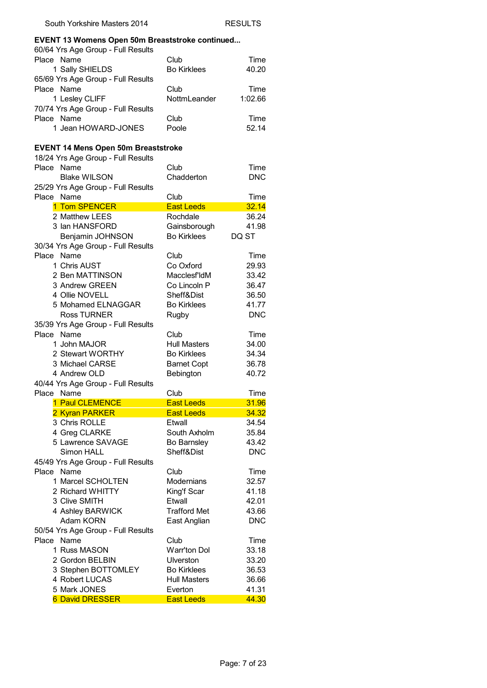#### **EVENT 13 Womens Open 50m Breaststroke continued...**

| 60/64 Yrs Age Group - Full Results |                    |         |
|------------------------------------|--------------------|---------|
| Place Name                         | Club               | Time    |
| 1 Sally SHIELDS                    | <b>Bo Kirklees</b> | 40.20   |
| 65/69 Yrs Age Group - Full Results |                    |         |
| Place Name                         | Club               | Time    |
| 1 Lesley CLIFF                     | NottmLeander       | 1:02.66 |
| 70/74 Yrs Age Group - Full Results |                    |         |
| Place Name                         | Club               | Time    |
| 1 Jean HOWARD-JONES                | Poole              | 52.14   |

#### **EVENT 14 Mens Open 50m Breaststroke**

|            | 18/24 Yrs Age Group - Full Results     |                              |                |
|------------|----------------------------------------|------------------------------|----------------|
| Place Name |                                        | Club                         | Time           |
|            | <b>Blake WILSON</b>                    | Chadderton                   | <b>DNC</b>     |
|            | 25/29 Yrs Age Group - Full Results     |                              |                |
| Place Name |                                        | Club                         | Time           |
|            | 1 Tom SPENCER                          | <b>East Leeds</b>            | 32.14          |
|            | 2 Matthew LEES                         | Rochdale                     | 36.24          |
|            | 3 Ian HANSFORD                         | Gainsborough                 | 41.98          |
|            | Benjamin JOHNSON                       | <b>Bo Kirklees</b>           | DQ ST          |
|            | 30/34 Yrs Age Group - Full Results     |                              |                |
| Place Name |                                        | Club                         | Time           |
|            | 1 Chris AUST                           | Co Oxford                    | 29.93          |
|            | 2 Ben MATTINSON                        | Macclesf'ldM                 | 33.42          |
|            | 3 Andrew GREEN                         | Co Lincoln P                 | 36.47          |
|            | 4 Ollie NOVELL                         | Sheff&Dist                   | 36.50          |
|            | 5 Mohamed ELNAGGAR                     | <b>Bo Kirklees</b>           | 41.77          |
|            | <b>Ross TURNER</b>                     |                              | <b>DNC</b>     |
|            |                                        | Rugby                        |                |
| Place Name | 35/39 Yrs Age Group - Full Results     |                              |                |
|            |                                        | Club                         | Time           |
|            | 1 John MAJOR                           | <b>Hull Masters</b>          | 34.00          |
|            | 2 Stewart WORTHY                       | <b>Bo Kirklees</b>           | 34.34          |
|            | 3 Michael CARSE                        | <b>Barnet Copt</b>           | 36.78          |
|            | 4 Andrew OLD                           | Bebington                    | 40.72          |
|            |                                        |                              |                |
|            | 40/44 Yrs Age Group - Full Results     |                              |                |
| Place Name |                                        | Club                         | Time           |
|            | 1 Paul CLEMENCE                        | <b>East Leeds</b>            | 31.96          |
|            | 2 Kyran PARKER                         | <b>East Leeds</b>            | 34.32          |
|            | 3 Chris ROLLE                          | Etwall                       | 34.54          |
|            | 4 Greg CLARKE                          | South Axholm                 | 35.84          |
|            | 5 Lawrence SAVAGE                      | Bo Barnsley                  | 43.42          |
|            | Simon HALL                             | Sheff&Dist                   | <b>DNC</b>     |
|            | 45/49 Yrs Age Group - Full Results     |                              |                |
| Place Name |                                        | Club                         | Time           |
|            | 1 Marcel SCHOLTEN                      | Modernians                   | 32.57          |
|            | 2 Richard WHITTY                       | King'f Scar                  | 41.18          |
|            | 3 Clive SMITH                          | Etwall                       | 42.01          |
|            | 4 Ashley BARWICK                       | <b>Trafford Met</b>          | 43.66          |
|            | Adam KORN                              |                              | <b>DNC</b>     |
|            |                                        | East Anglian                 |                |
| Place Name | 50/54 Yrs Age Group - Full Results     | Club                         | Time           |
|            | 1 Russ MASON                           | Warr'ton Dol                 | 33.18          |
|            |                                        |                              |                |
|            | 2 Gordon BELBIN                        | Ulverston                    | 33.20          |
|            | 3 Stephen BOTTOMLEY                    | <b>Bo Kirklees</b>           | 36.53          |
|            | 4 Robert LUCAS                         | <b>Hull Masters</b>          | 36.66          |
|            | 5 Mark JONES<br><b>6 David DRESSER</b> | Everton<br><b>East Leeds</b> | 41.31<br>44.30 |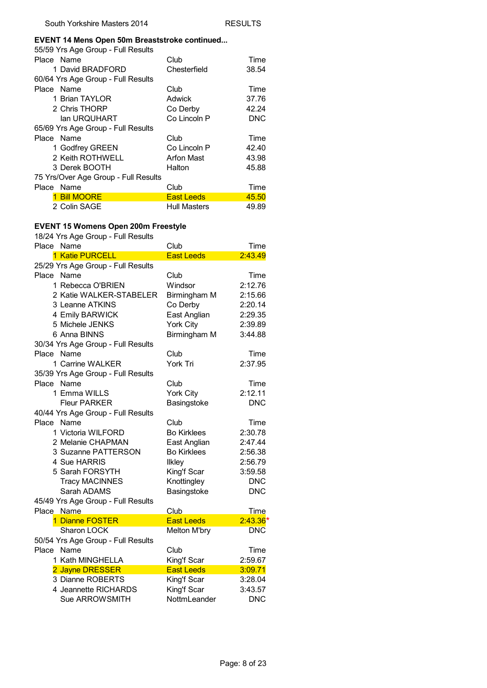#### **EVENT 14 Mens Open 50m Breaststroke continued...**

| 55/59 Yrs Age Group - Full Results   |                     |            |
|--------------------------------------|---------------------|------------|
| Place Name                           | Club                | Time       |
| 1 David BRADFORD                     | Chesterfield        | 38.54      |
| 60/64 Yrs Age Group - Full Results   |                     |            |
| Place Name                           | Club                | Time       |
| 1 Brian TAYLOR                       | Adwick              | 37.76      |
| 2 Chris THORP                        | Co Derby            | 42.24      |
| lan URQUHART                         | Co Lincoln P        | <b>DNC</b> |
| 65/69 Yrs Age Group - Full Results   |                     |            |
| Place Name                           | Club                | Time       |
| 1 Godfrey GREEN                      | Co Lincoln P        | 42.40      |
| 2 Keith ROTHWELL                     | <b>Arfon Mast</b>   | 43.98      |
| 3 Derek BOOTH                        | Halton              | 45.88      |
| 75 Yrs/Over Age Group - Full Results |                     |            |
| Place Name                           | Club                | Time       |
| 1 Bill MOORE                         | <b>East Leeds</b>   | 45.50      |
| 2 Colin SAGE                         | <b>Hull Masters</b> | 49.89      |

# **EVENT 15 Womens Open 200m Freestyle**

| 18/24 Yrs Age Group - Full Results |                     |            |
|------------------------------------|---------------------|------------|
| Place Name                         | Club                | Time       |
| 1 Katie PURCELL                    | <b>East Leeds</b>   | 2:43.49    |
| 25/29 Yrs Age Group - Full Results |                     |            |
| Place Name                         | Club                | Time       |
| 1 Rebecca O'BRIEN                  | Windsor             | 2:12.76    |
| 2 Katie WALKER-STABELER            | Birmingham M        | 2:15.66    |
| 3 Leanne ATKINS                    | Co Derby            | 2:20.14    |
| 4 Emily BARWICK                    | East Anglian        | 2:29.35    |
| 5 Michele JENKS                    | <b>York City</b>    | 2:39.89    |
| 6 Anna BINNS                       | Birmingham M        | 3:44.88    |
| 30/34 Yrs Age Group - Full Results |                     |            |
| Place Name                         | Club                | Time       |
| 1 Carrine WALKER                   | York Tri            | 2:37.95    |
| 35/39 Yrs Age Group - Full Results |                     |            |
| Place Name                         | Club                | Time       |
| 1 Emma WILLS                       | <b>York City</b>    | 2:12.11    |
| Fleur PARKFR                       | Basingstoke         | <b>DNC</b> |
| 40/44 Yrs Age Group - Full Results |                     |            |
| Place Name                         | Club                | Time       |
| 1 Victoria WILFORD                 | <b>Bo Kirklees</b>  | 2:30.78    |
| 2 Melanie CHAPMAN                  | East Anglian        | 2:47.44    |
| 3 Suzanne PATTERSON                | <b>Bo Kirklees</b>  | 2:56.38    |
| 4 Sue HARRIS                       | <b>Ilkley</b>       | 2:56.79    |
| 5 Sarah FORSYTH                    | King'f Scar         | 3:59.58    |
| <b>Tracy MACINNES</b>              | Knottingley         | <b>DNC</b> |
| Sarah ADAMS                        | Basingstoke         | <b>DNC</b> |
| 45/49 Yrs Age Group - Full Results |                     |            |
| Place Name                         | Club                | Time       |
| 1 Dianne FOSTER                    | <b>East Leeds</b>   | $2:43.36*$ |
| Sharon LOCK                        | <b>Melton M'bry</b> | <b>DNC</b> |
| 50/54 Yrs Age Group - Full Results |                     |            |
| Place Name                         | Club                | Time       |
| 1 Kath MINGHELLA                   | King'f Scar         | 2:59.67    |
| 2 Jayne DRESSER                    | <b>East Leeds</b>   | 3:09.71    |
| 3 Dianne ROBERTS                   | King'f Scar         | 3:28.04    |
| 4 Jeannette RICHARDS               | King'f Scar         | 3:43.57    |
| Sue ARROWSMITH                     | NottmLeander        | <b>DNC</b> |
|                                    |                     |            |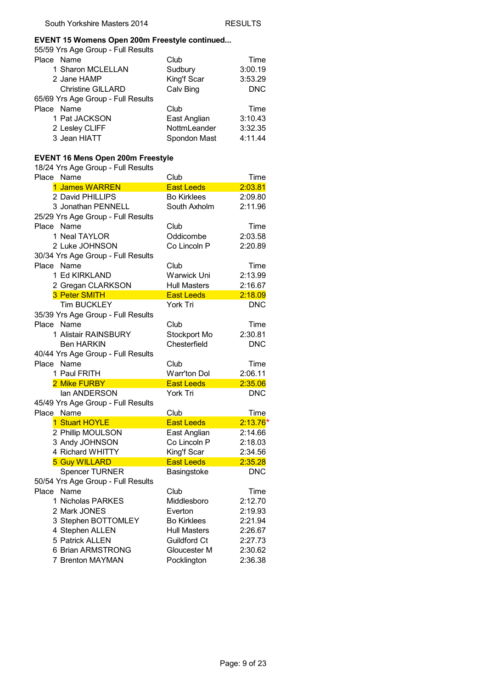#### **EVENT 15 Womens Open 200m Freestyle continued...**

55/59 Yrs Age Group - Full Results

| Place Name                         | Club         | Time       |
|------------------------------------|--------------|------------|
| 1 Sharon MCLELLAN                  | Sudbury      | 3:00.19    |
| 2 Jane HAMP                        | King'f Scar  | 3:53.29    |
| <b>Christine GILLARD</b>           | Calv Bing    | <b>DNC</b> |
| 65/69 Yrs Age Group - Full Results |              |            |
| Place Name                         | Club         | Time       |
| 1 Pat JACKSON                      | East Anglian | 3:10.43    |
| 2 Lesley CLIFF                     | NottmLeander | 3:32.35    |
| 3 Jean HIATT                       | Spondon Mast | 4:11.44    |

## **EVENT 16 Mens Open 200m Freestyle**

| שטוט טאָו ניטור<br>Place Name      | Club                | Time       |
|------------------------------------|---------------------|------------|
| 1 James WARREN                     | <b>East Leeds</b>   | 2:03.81    |
| 2 David PHILLIPS                   | <b>Bo Kirklees</b>  | 2:09.80    |
| 3 Jonathan PENNELL                 | South Axholm        | 2:11.96    |
| 25/29 Yrs Age Group - Full Results |                     |            |
| Place Name                         | Club                | Time       |
| 1 Neal TAYLOR                      | Oddicombe           | 2:03.58    |
| 2 Luke JOHNSON                     | Co Lincoln P        | 2:20.89    |
| 30/34 Yrs Age Group - Full Results |                     |            |
| Place<br>Name                      | Club                | Time       |
| 1 Ed KIRKLAND                      | Warwick Uni         | 2:13.99    |
| 2 Gregan CLARKSON                  | <b>Hull Masters</b> | 2:16.67    |
| 3 Peter SMITH                      | <b>East Leeds</b>   | 2:18.09    |
| <b>Tim BUCKLEY</b>                 | York Tri            | <b>DNC</b> |
| 35/39 Yrs Age Group - Full Results |                     |            |
| Name<br>Place                      | Club                | Time       |
| 1 Alistair RAINSBURY               | Stockport Mo        | 2:30.81    |
| <b>Ben HARKIN</b>                  | Chesterfield        | <b>DNC</b> |
| 40/44 Yrs Age Group - Full Results |                     |            |
| Place Name                         | Club                | Time       |
| 1 Paul FRITH                       | Warr'ton Dol        | 2:06.11    |
| 2 Mike FURBY                       | <b>East Leeds</b>   | 2:35.06    |
| lan ANDERSON                       | York Tri            | <b>DNC</b> |
| 45/49 Yrs Age Group - Full Results |                     |            |
| Place Name                         | Club                | Time       |
| 1 Stuart HOYLE                     | <b>East Leeds</b>   | $2:13.76*$ |
| 2 Phillip MOULSON                  | East Anglian        | 2:14.66    |
| 3 Andy JOHNSON                     | Co Lincoln P        | 2:18.03    |
| 4 Richard WHITTY                   | King'f Scar         | 2:34.56    |
| <b>5 Guy WILLARD</b>               | <b>East Leeds</b>   | 2:35.28    |
| <b>Spencer TURNER</b>              | Basingstoke         | <b>DNC</b> |
| 50/54 Yrs Age Group - Full Results |                     |            |
| Name<br>Place                      | Club                | Time       |
| 1 Nicholas PARKES                  | Middlesboro         | 2:12.70    |
| 2 Mark JONES                       | Everton             | 2:19.93    |
| 3 Stephen BOTTOMLEY                | <b>Bo Kirklees</b>  | 2:21.94    |
| 4 Stephen ALLEN                    | <b>Hull Masters</b> | 2:26.67    |
| 5 Patrick ALLEN                    | <b>Guildford Ct</b> | 2:27.73    |
| 6 Brian ARMSTRONG                  | Gloucester M        | 2:30.62    |
| 7 Brenton MAYMAN                   | Pocklington         | 2:36.38    |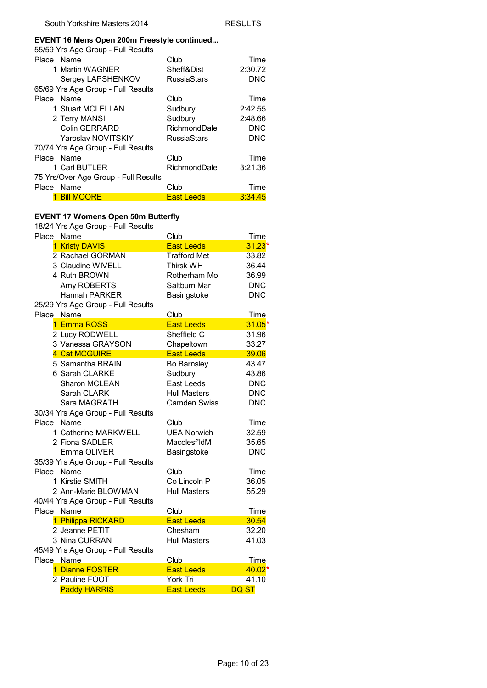#### **EVENT 16 Mens Open 200m Freestyle continued...**

| 55/59 Yrs Age Group - Full Results   |                     |            |
|--------------------------------------|---------------------|------------|
| Place Name                           | Club                | Time       |
| 1 Martin WAGNER                      | Sheff&Dist          | 2:30.72    |
| Sergey LAPSHENKOV                    | <b>RussiaStars</b>  | <b>DNC</b> |
| 65/69 Yrs Age Group - Full Results   |                     |            |
| Place Name                           | Club                | Time       |
| 1 Stuart MCLELLAN                    | Sudbury             | 2:42.55    |
| 2 Terry MANSI                        | Sudbury             | 2:48.66    |
| Colin GERRARD                        | RichmondDale        | <b>DNC</b> |
| Yaroslav NOVITSKIY                   | <b>RussiaStars</b>  | <b>DNC</b> |
| 70/74 Yrs Age Group - Full Results   |                     |            |
| Place Name                           | Club                | Time       |
| 1 Carl BUTLER                        | <b>RichmondDale</b> | 3:21.36    |
| 75 Yrs/Over Age Group - Full Results |                     |            |
| Place Name                           | Club                | Time       |
| <b>Bill MOORE</b>                    | <b>East Leeds</b>   | 3:34.45    |

#### **EVENT 17 Womens Open 50m Butterfly**

| Place Name                         | Club                | <b>Time</b>  |
|------------------------------------|---------------------|--------------|
| 1 Kristy DAVIS                     | <b>East Leeds</b>   | $31.23*$     |
| 2 Rachael GORMAN                   | <b>Trafford Met</b> | 33.82        |
| 3 Claudine WIVELL                  | <b>Thirsk WH</b>    | 36.44        |
| 4 Ruth BROWN                       | Rotherham Mo        | 36.99        |
| Amy ROBERTS                        | Saltburn Mar        | <b>DNC</b>   |
| <b>Hannah PARKER</b>               | Basingstoke         | <b>DNC</b>   |
| 25/29 Yrs Age Group - Full Results |                     |              |
| Place Name                         | <b>Club</b>         | <b>Time</b>  |
| 1 Emma ROSS                        | <b>East Leeds</b>   | $31.05*$     |
| 2 Lucy RODWELL                     | Sheffield C         | 31.96        |
| 3 Vanessa GRAYSON                  | Chapeltown          | 33.27        |
| 4 Cat MCGUIRE                      | <b>East Leeds</b>   | 39.06        |
| 5 Samantha BRAIN                   | Bo Barnsley         | 43.47        |
| 6 Sarah CLARKE                     | Sudbury             | 43.86        |
| Sharon MCLEAN                      | East Leeds          | <b>DNC</b>   |
| Sarah CLARK                        | <b>Hull Masters</b> | <b>DNC</b>   |
| Sara MAGRATH                       | <b>Camden Swiss</b> | <b>DNC</b>   |
| 30/34 Yrs Age Group - Full Results |                     |              |
| Place Name                         | Club                | Time         |
| 1 Catherine MARKWELL               | <b>UEA Norwich</b>  | 32.59        |
| 2 Fiona SADLER                     | Macclesf'ldM        | 35.65        |
| Emma OLIVER                        | Basingstoke         | <b>DNC</b>   |
| 35/39 Yrs Age Group - Full Results |                     |              |
| Place Name                         | Club                | Time         |
| 1 Kirstie SMITH                    | Co Lincoln P        | 36.05        |
| 2 Ann-Marie BLOWMAN                | <b>Hull Masters</b> | 55.29        |
| 40/44 Yrs Age Group - Full Results |                     |              |
| Place Name                         | Club                | Time         |
| 1 Philippa RICKARD                 | <b>East Leeds</b>   | 30.54        |
| 2 Jeanne PETIT                     | Chesham             | 32.20        |
| 3 Nina CURRAN                      | <b>Hull Masters</b> | 41.03        |
| 45/49 Yrs Age Group - Full Results |                     |              |
| Place Name                         | Club                | Time         |
| 1 Dianne FOSTER                    | <b>East Leeds</b>   | $40.02*$     |
| 2 Pauline FOOT                     | York Tri            | 41.10        |
| <b>Paddy HARRIS</b>                | <b>East Leeds</b>   | <b>DQ ST</b> |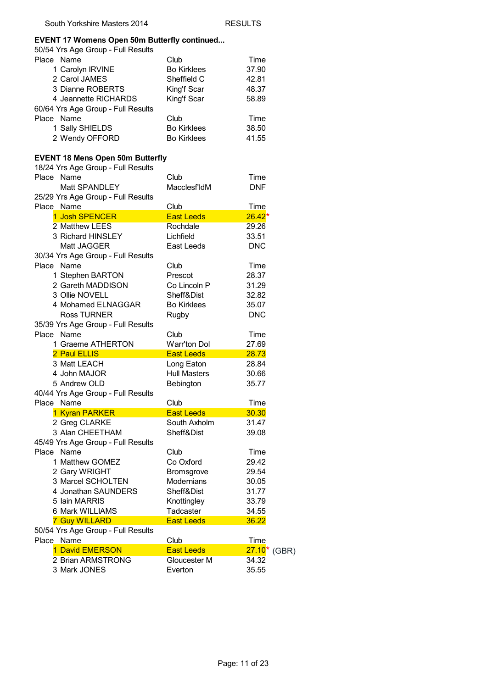#### **EVENT 17 Womens Open 50m Butterfly continued...**

| 50/54 Yrs Age Group - Full Results      |                     |                          |
|-----------------------------------------|---------------------|--------------------------|
| Place Name                              | Club                | Time                     |
| 1 Carolyn IRVINE                        | <b>Bo Kirklees</b>  | 37.90                    |
| 2 Carol JAMES                           | Sheffield C         | 42.81                    |
| 3 Dianne ROBERTS                        | King'f Scar         | 48.37                    |
| 4 Jeannette RICHARDS                    |                     |                          |
|                                         | King'f Scar         | 58.89                    |
| 60/64 Yrs Age Group - Full Results      |                     |                          |
| Place Name                              | Club                | Time                     |
| 1 Sally SHIELDS                         | <b>Bo Kirklees</b>  | 38.50                    |
| 2 Wendy OFFORD                          | <b>Bo Kirklees</b>  | 41.55                    |
| <b>EVENT 18 Mens Open 50m Butterfly</b> |                     |                          |
| 18/24 Yrs Age Group - Full Results      |                     |                          |
| Name<br>Place                           | Club                | Time                     |
| Matt SPANDLEY                           | Macclesf'ldM        | <b>DNF</b>               |
| 25/29 Yrs Age Group - Full Results      |                     |                          |
| Place Name                              | Club                | <b>Time</b>              |
| 1 Josh SPENCER                          | <b>East Leeds</b>   | $26.42*$                 |
| 2 Matthew LEES                          | Rochdale            | 29.26                    |
| 3 Richard HINSLEY                       | Lichfield           | 33.51                    |
| Matt JAGGER                             | East Leeds          | <b>DNC</b>               |
| 30/34 Yrs Age Group - Full Results      |                     |                          |
| Place Name                              | Club                | Time                     |
| 1 Stephen BARTON                        | Prescot             | 28.37                    |
| 2 Gareth MADDISON                       | Co Lincoln P        | 31.29                    |
| 3 Ollie NOVELL                          | Sheff&Dist          | 32.82                    |
| 4 Mohamed ELNAGGAR                      | <b>Bo Kirklees</b>  | 35.07                    |
| <b>Ross TURNER</b>                      |                     |                          |
|                                         | Rugby               | <b>DNC</b>               |
| 35/39 Yrs Age Group - Full Results      |                     |                          |
| Place Name                              | Club                | Time                     |
| 1 Graeme ATHERTON                       | Warr'ton Dol        | 27.69                    |
| 2 Paul ELLIS                            | <b>East Leeds</b>   | 28.73                    |
| 3 Matt LEACH                            | Long Eaton          | 28.84                    |
| 4 John MAJOR                            | <b>Hull Masters</b> | 30.66                    |
| 5 Andrew OLD                            | Bebington           | 35.77                    |
| 40/44 Yrs Age Group - Full Results      |                     |                          |
| Place Name                              | Club                | Time                     |
| 1 Kyran PARKER                          | <b>East Leeds</b>   | 30.30                    |
| 2 Greg CLARKE                           | South Axholm        | 31.47                    |
| 3 Alan CHEETHAM                         | Sheff&Dist          | 39.08                    |
| 45/49 Yrs Age Group - Full Results      |                     |                          |
| Place Name                              | Club                | Time                     |
| 1 Matthew GOMEZ                         | Co Oxford           | 29.42                    |
| 2 Gary WRIGHT                           | Bromsgrove          | 29.54                    |
| 3 Marcel SCHOLTEN                       | <b>Modernians</b>   | 30.05                    |
| 4 Jonathan SAUNDERS                     | Sheff&Dist          | 31.77                    |
| 5 Iain MARRIS                           | Knottingley         | 33.79                    |
| 6 Mark WILLIAMS                         | Tadcaster           | 34.55                    |
| <b>7 Guy WILLARD</b>                    | <b>East Leeds</b>   | 36.22                    |
| 50/54 Yrs Age Group - Full Results      |                     |                          |
| Place Name                              | Club                | Time                     |
| 1 David EMERSON                         | <b>East Leeds</b>   | 27.10 <sup>*</sup> (GBR) |
| 2 Brian ARMSTRONG                       | Gloucester M        | 34.32                    |
| 3 Mark JONES                            | Everton             | 35.55                    |
|                                         |                     |                          |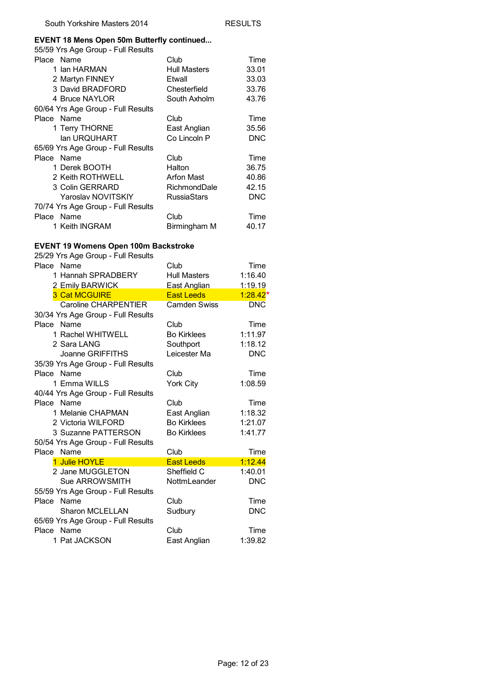#### **EVENT 18 Mens Open 50m Butterfly continued...**

| 55/59 Yrs Age Group - Full Results |                     |            |
|------------------------------------|---------------------|------------|
| Place Name                         | Club                | Time       |
| 1 Ian HARMAN                       | <b>Hull Masters</b> | 33.01      |
| 2 Martyn FINNEY                    | Etwall              | 33.03      |
| 3 David BRADFORD                   | Chesterfield        | 33.76      |
| 4 Bruce NAYLOR                     | South Axholm        | 43.76      |
| 60/64 Yrs Age Group - Full Results |                     |            |
| Place Name                         | Club                | Time       |
| 1 Terry THORNE                     | East Anglian        | 35.56      |
| lan URQUHART                       | Co Lincoln P        | <b>DNC</b> |
| 65/69 Yrs Age Group - Full Results |                     |            |
| Place Name                         | Club                | Time       |
| 1 Derek BOOTH                      | Halton              | 36.75      |
| 2 Keith ROTHWELL                   | Arfon Mast          | 40.86      |
| 3 Colin GERRARD                    | RichmondDale        | 42.15      |
| Yaroslav NOVITSKIY                 | <b>RussiaStars</b>  | <b>DNC</b> |
| 70/74 Yrs Age Group - Full Results |                     |            |
| Place Name                         | Club                | Time       |
| 1 Keith INGRAM                     | Birmingham M        | 40.17      |

### **EVENT 19 Womens Open 100m Backstroke**

| Club<br><b>Hull Masters</b><br>East Anglian<br><b>Fast Leeds</b><br>Camden Swiss<br>Club<br><b>Bo Kirklees</b><br>Southport<br>Leicester Ma | Time<br>1:16.40<br>1:19.19<br>$1:28.42*$<br><b>DNC</b><br>Time<br>1:11.97<br>1:18.12<br><b>DNC</b> |
|---------------------------------------------------------------------------------------------------------------------------------------------|----------------------------------------------------------------------------------------------------|
|                                                                                                                                             |                                                                                                    |
|                                                                                                                                             |                                                                                                    |
|                                                                                                                                             |                                                                                                    |
|                                                                                                                                             |                                                                                                    |
|                                                                                                                                             |                                                                                                    |
|                                                                                                                                             |                                                                                                    |
|                                                                                                                                             |                                                                                                    |
|                                                                                                                                             |                                                                                                    |
|                                                                                                                                             |                                                                                                    |
|                                                                                                                                             |                                                                                                    |
|                                                                                                                                             |                                                                                                    |
| Club                                                                                                                                        | Time                                                                                               |
| York City                                                                                                                                   | 1:08.59                                                                                            |
|                                                                                                                                             |                                                                                                    |
| Club                                                                                                                                        | Time                                                                                               |
| East Anglian                                                                                                                                | 1:18.32                                                                                            |
| <b>Bo Kirklees</b>                                                                                                                          | 1:21.07                                                                                            |
| <b>Bo Kirklees</b>                                                                                                                          | 1:41.77                                                                                            |
|                                                                                                                                             |                                                                                                    |
| Club                                                                                                                                        | Time                                                                                               |
| <b>East Leeds</b>                                                                                                                           | 1:12.44                                                                                            |
| Sheffield C                                                                                                                                 | 1:40.01                                                                                            |
| NottmLeander                                                                                                                                | <b>DNC</b>                                                                                         |
|                                                                                                                                             |                                                                                                    |
| Club                                                                                                                                        | Time                                                                                               |
| Sudbury                                                                                                                                     | <b>DNC</b>                                                                                         |
|                                                                                                                                             |                                                                                                    |
| Club                                                                                                                                        | Time                                                                                               |
| East Anglian                                                                                                                                | 1:39.82                                                                                            |
|                                                                                                                                             |                                                                                                    |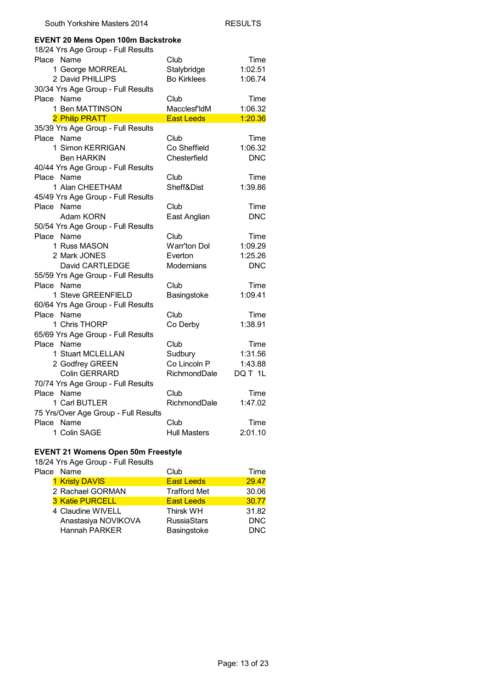| South Yorkshire Masters 2014                                                    |                     | RESULTS    |
|---------------------------------------------------------------------------------|---------------------|------------|
| <b>EVENT 20 Mens Open 100m Backstroke</b><br>18/24 Yrs Age Group - Full Results |                     |            |
| Place Name                                                                      | Club                | Time       |
| 1 George MORREAL                                                                | Stalybridge         | 1:02.51    |
| 2 David PHILLIPS                                                                | <b>Bo Kirklees</b>  | 1:06.74    |
| 30/34 Yrs Age Group - Full Results                                              |                     |            |
| Place Name                                                                      | Club                | Time       |
| 1 Ben MATTINSON                                                                 | Macclesf'ldM        | 1:06.32    |
| 2 Philip PRATT                                                                  | <b>East Leeds</b>   | 1:20.36    |
| 35/39 Yrs Age Group - Full Results                                              |                     |            |
| Place Name                                                                      | Club                | Time       |
| 1 Simon KERRIGAN                                                                | Co Sheffield        | 1:06.32    |
| <b>Ben HARKIN</b>                                                               | Chesterfield        | <b>DNC</b> |
| 40/44 Yrs Age Group - Full Results                                              |                     |            |
| Place Name                                                                      | Club                | Time       |
| 1 Alan CHEETHAM                                                                 | Sheff&Dist          | 1:39.86    |
| 45/49 Yrs Age Group - Full Results                                              |                     |            |
| Place Name                                                                      | Club                | Time       |
| Adam KORN                                                                       | East Anglian        | <b>DNC</b> |
| 50/54 Yrs Age Group - Full Results                                              |                     |            |
| Place Name                                                                      | Club                | Time       |
| 1 Russ MASON                                                                    | Warr'ton Dol        | 1:09.29    |
| 2 Mark JONES                                                                    | Everton             | 1:25.26    |
| David CARTLEDGE                                                                 | Modernians          | <b>DNC</b> |
| 55/59 Yrs Age Group - Full Results                                              |                     |            |
| Place Name                                                                      | Club                | Time       |
| 1 Steve GREENFIELD                                                              | Basingstoke         | 1:09.41    |
| 60/64 Yrs Age Group - Full Results                                              |                     |            |
| Place Name                                                                      | Club                | Time       |
| 1 Chris THORP                                                                   | Co Derby            | 1:38.91    |
| 65/69 Yrs Age Group - Full Results                                              |                     |            |
| Place Name                                                                      | Club                | Time       |
| 1 Stuart MCLELLAN                                                               | Sudbury             | 1:31.56    |
| 2 Godfrey GREEN                                                                 | Co Lincoln P        | 1:43.88    |
| Colin GERRARD                                                                   | RichmondDale        | DQ T 1L    |
| 70/74 Yrs Age Group - Full Results                                              |                     |            |
| Place Name                                                                      | Club                | Time       |
| 1 Carl BUTLER                                                                   | RichmondDale        | 1:47.02    |
| 75 Yrs/Over Age Group - Full Results                                            |                     |            |
| Place Name                                                                      | Club                | Time       |
| 1 Colin SAGE                                                                    | <b>Hull Masters</b> | 2:01.10    |
|                                                                                 |                     |            |

#### **EVENT 21 Womens Open 50m Freestyle**

| Place Name             | Club                | Time       |
|------------------------|---------------------|------------|
| 1 Kristy DAVIS         | <b>East Leeds</b>   | 29.47      |
| 2 Rachael GORMAN       | <b>Trafford Met</b> | 30.06      |
| <b>3 Katie PURCELL</b> | <b>East Leeds</b>   | 30.77      |
| 4 Claudine WIVELL      | <b>Thirsk WH</b>    | 31.82      |
| Anastasiya NOVIKOVA    | <b>RussiaStars</b>  | <b>DNC</b> |
| Hannah PARKER          | Basingstoke         | <b>DNC</b> |
|                        |                     |            |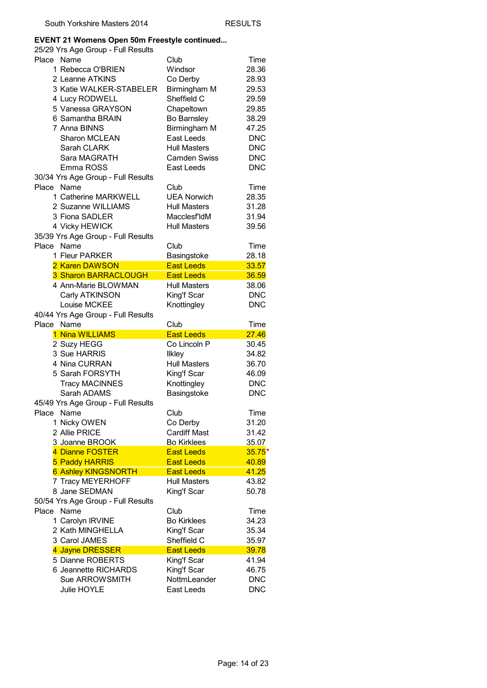#### **EVENT 21 Womens Open 50m Freestyle continued...**

| Place Name |                                    | Club                | Time       |
|------------|------------------------------------|---------------------|------------|
|            | 1 Rebecca O'BRIEN                  | Windsor             | 28.36      |
|            | 2 Leanne ATKINS                    | Co Derby            | 28.93      |
|            | 3 Katie WALKER-STABELER            | Birmingham M        | 29.53      |
|            | 4 Lucy RODWELL                     | Sheffield C         | 29.59      |
|            | 5 Vanessa GRAYSON                  | Chapeltown          | 29.85      |
|            | 6 Samantha BRAIN                   | <b>Bo Barnsley</b>  | 38.29      |
|            | 7 Anna BINNS                       | Birmingham M        | 47.25      |
|            | <b>Sharon MCLEAN</b>               | East Leeds          | <b>DNC</b> |
|            | Sarah CLARK                        | <b>Hull Masters</b> | <b>DNC</b> |
|            | Sara MAGRATH                       | <b>Camden Swiss</b> | <b>DNC</b> |
|            | Emma ROSS                          | East Leeds          | <b>DNC</b> |
|            | 30/34 Yrs Age Group - Full Results |                     |            |
| Place Name |                                    | Club                | Time       |
|            | 1 Catherine MARKWELL               | <b>UEA Norwich</b>  | 28.35      |
|            | 2 Suzanne WILLIAMS                 | <b>Hull Masters</b> | 31.28      |
|            |                                    | Macclesf'ldM        |            |
|            | 3 Fiona SADLER                     |                     | 31.94      |
|            | 4 Vicky HEWICK                     | <b>Hull Masters</b> | 39.56      |
|            | 35/39 Yrs Age Group - Full Results |                     |            |
| Place Name |                                    | Club                | Time       |
|            | 1 Fleur PARKER                     | Basingstoke         | 28.18      |
|            | 2 Karen DAWSON                     | <b>East Leeds</b>   | 33.57      |
|            | 3 Sharon BARRACLOUGH               | <b>East Leeds</b>   | 36.59      |
|            | 4 Ann-Marie BLOWMAN                | <b>Hull Masters</b> | 38.06      |
|            | Carly ATKINSON                     | King'f Scar         | <b>DNC</b> |
|            | Louise MCKEE                       | Knottingley         | <b>DNC</b> |
|            | 40/44 Yrs Age Group - Full Results |                     |            |
|            | Place Name                         | Club                | Time       |
|            |                                    |                     |            |
|            | 1 Nina WILLIAMS                    | <b>East Leeds</b>   | 27.46      |
|            | 2 Suzy HEGG                        | Co Lincoln P        | 30.45      |
|            | 3 Sue HARRIS                       | <b>Ilkley</b>       | 34.82      |
|            | 4 Nina CURRAN                      | <b>Hull Masters</b> | 36.70      |
|            | 5 Sarah FORSYTH                    | King'f Scar         | 46.09      |
|            | <b>Tracy MACINNES</b>              | Knottingley         | <b>DNC</b> |
|            | Sarah ADAMS                        | Basingstoke         | <b>DNC</b> |
|            | 45/49 Yrs Age Group - Full Results |                     |            |
| Place Name |                                    | Club                | Time       |
|            | 1 Nicky OWEN                       | Co Derby            | 31.20      |
|            | 2 Allie PRICE                      | <b>Cardiff Mast</b> | 31.42      |
|            | 3 Joanne BROOK                     | <b>Bo Kirklees</b>  | 35.07      |
|            | 4 Dianne FOSTER                    | <b>East Leeds</b>   | $35.75*$   |
|            | 5 Paddy HARRIS                     | <b>East Leeds</b>   | 40.89      |
|            | <b>6 Ashley KINGSNORTH</b>         | <b>East Leeds</b>   | 41.25      |
|            | 7 Tracy MEYERHOFF                  | <b>Hull Masters</b> | 43.82      |
|            | 8 Jane SEDMAN                      | King'f Scar         | 50.78      |
|            | 50/54 Yrs Age Group - Full Results |                     |            |
| Place Name |                                    | Club                | Time       |
|            | 1 Carolyn IRVINE                   | <b>Bo Kirklees</b>  | 34.23      |
|            | 2 Kath MINGHELLA                   | King'f Scar         | 35.34      |
|            | 3 Carol JAMES                      | Sheffield C         | 35.97      |
|            | 4 Jayne DRESSER                    | <b>East Leeds</b>   | 39.78      |
|            | 5 Dianne ROBERTS                   | King'f Scar         | 41.94      |
|            | 6 Jeannette RICHARDS               | King'f Scar         | 46.75      |
|            | Sue ARROWSMITH                     | NottmLeander        | <b>DNC</b> |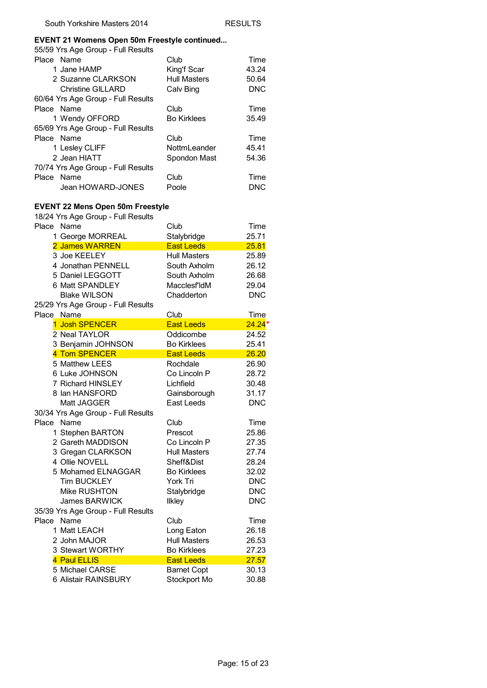#### **EVENT 21 Womens Open 50m Freestyle continued...**

| 55/59 Yrs Age Group - Full Results |                     |            |
|------------------------------------|---------------------|------------|
| Place Name                         | Club                | Time       |
| 1 Jane HAMP                        | King'f Scar         | 43.24      |
| 2 Suzanne CLARKSON                 | <b>Hull Masters</b> | 50.64      |
| <b>Christine GILLARD</b>           | Calv Bing           | <b>DNC</b> |
| 60/64 Yrs Age Group - Full Results |                     |            |
| Place Name                         | Club                | Time       |
| 1 Wendy OFFORD                     | <b>Bo Kirklees</b>  | 35.49      |
| 65/69 Yrs Age Group - Full Results |                     |            |
| Place Name                         | Club                | Time       |
| 1 Lesley CLIFF                     | NottmLeander        | 45.41      |
| 2 Jean HIATT                       | Spondon Mast        | 54.36      |
| 70/74 Yrs Age Group - Full Results |                     |            |
| Place Name                         | Club                | Time       |
| Jean HOWARD-JONES                  | Poole               | <b>DNC</b> |
|                                    |                     |            |

#### **EVENT 22 Mens Open 50m Freestyle**

| $1.01$ Mgc $\sim$ $\sim$ $\sim$<br>Place Name | Club                | Time        |
|-----------------------------------------------|---------------------|-------------|
| 1 George MORREAL                              | Stalybridge         | 25.71       |
| 2 James WARREN                                | <b>East Leeds</b>   | 25.81       |
| 3 Joe KEELEY                                  | <b>Hull Masters</b> | 25.89       |
| 4 Jonathan PENNELL                            | South Axholm        | 26.12       |
| 5 Daniel LEGGOTT                              | South Axholm        | 26.68       |
| 6 Matt SPANDLEY                               | Macclesf'ldM        | 29.04       |
| <b>Blake WILSON</b>                           | Chadderton          | <b>DNC</b>  |
| 25/29 Yrs Age Group - Full Results            |                     |             |
| Place Name                                    | Club                | <b>Time</b> |
| 1 Josh SPENCER                                | <b>East Leeds</b>   | $24.24*$    |
| 2 Neal TAYLOR                                 | Oddicombe           | 24.52       |
| 3 Benjamin JOHNSON                            | <b>Bo Kirklees</b>  | 25.41       |
| 4 Tom SPENCER                                 | <b>East Leeds</b>   | 26.20       |
| 5 Matthew LEES                                | Rochdale            | 26.90       |
| 6 Luke JOHNSON                                | Co Lincoln P        | 28.72       |
| 7 Richard HINSLEY                             | Lichfield           | 30.48       |
| 8 Ian HANSFORD                                | Gainsborough        | 31.17       |
| Matt JAGGER                                   | East Leeds          | <b>DNC</b>  |
| 30/34 Yrs Age Group - Full Results            |                     |             |
| Place Name                                    | Club                | Time        |
| 1 Stephen BARTON                              | Prescot             | 25.86       |
| 2 Gareth MADDISON                             | Co Lincoln P        | 27.35       |
| 3 Gregan CLARKSON                             | <b>Hull Masters</b> | 27.74       |
| 4 Ollie NOVELL                                | Sheff&Dist          | 28.24       |
| 5 Mohamed ELNAGGAR                            | <b>Bo Kirklees</b>  | 32.02       |
| <b>Tim BUCKLEY</b>                            | York Tri            | <b>DNC</b>  |
| Mike RUSHTON                                  | Stalybridge         | <b>DNC</b>  |
| James BARWICK                                 | <b>Ilkley</b>       | <b>DNC</b>  |
| 35/39 Yrs Age Group - Full Results            |                     |             |
| Place Name                                    | Club                | Time        |
| 1 Matt LEACH                                  | Long Eaton          | 26.18       |
| 2 John MAJOR                                  | <b>Hull Masters</b> | 26.53       |
| 3 Stewart WORTHY                              | <b>Bo Kirklees</b>  | 27.23       |
| 4 Paul ELLIS                                  | <b>East Leeds</b>   | 27.57       |
| 5 Michael CARSE                               | <b>Barnet Copt</b>  | 30.13       |
| 6 Alistair RAINSBURY                          | Stockport Mo        | 30.88       |
|                                               |                     |             |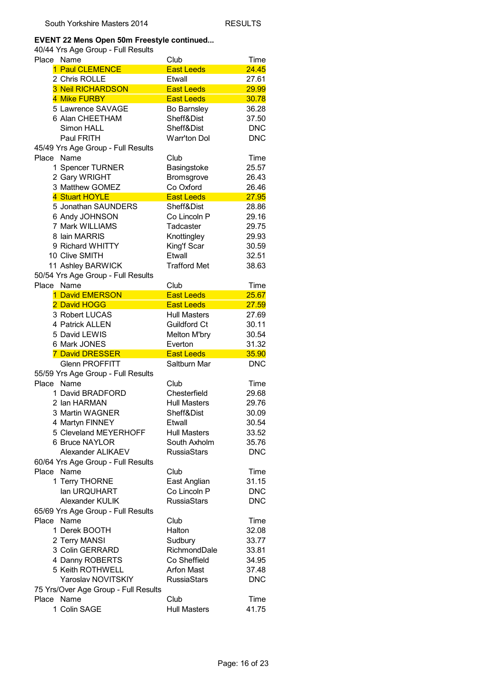#### **EVENT 22 Mens Open 50m Freestyle continued...**

| Place      | Name                                 | Club                | Time       |
|------------|--------------------------------------|---------------------|------------|
|            | 1 Paul CLEMENCE                      | <b>East Leeds</b>   | 24.45      |
|            | 2 Chris ROLLE                        | Etwall              | 27.61      |
|            | <b>3 Neil RICHARDSON</b>             | <b>East Leeds</b>   | 29.99      |
|            | 4 Mike FURBY                         | <b>East Leeds</b>   | 30.78      |
|            | 5 Lawrence SAVAGE                    | Bo Barnsley         | 36.28      |
|            | 6 Alan CHEETHAM                      | Sheff&Dist          | 37.50      |
|            | Simon HALL                           | Sheff&Dist          | <b>DNC</b> |
|            | Paul FRITH                           | Warr'ton Dol        | <b>DNC</b> |
|            | 45/49 Yrs Age Group - Full Results   |                     |            |
| Place Name |                                      | Club                | Time       |
|            | 1 Spencer TURNER                     | Basingstoke         | 25.57      |
|            | 2 Gary WRIGHT                        | Bromsgrove          | 26.43      |
|            | 3 Matthew GOMEZ                      | Co Oxford           | 26.46      |
|            | 4 Stuart HOYLE                       | <b>East Leeds</b>   | 27.95      |
|            | 5 Jonathan SAUNDERS                  | Sheff&Dist          | 28.86      |
|            | 6 Andy JOHNSON                       | Co Lincoln P        | 29.16      |
|            | 7 Mark WILLIAMS                      | Tadcaster           | 29.75      |
|            | 8 Iain MARRIS                        |                     |            |
|            |                                      | Knottingley         | 29.93      |
|            | 9 Richard WHITTY                     | King'f Scar         | 30.59      |
|            | 10 Clive SMITH                       | Etwall              | 32.51      |
|            | 11 Ashley BARWICK                    | <b>Trafford Met</b> | 38.63      |
|            | 50/54 Yrs Age Group - Full Results   |                     |            |
| Place Name |                                      | Club                | Time       |
|            | 1 David EMERSON                      | <b>East Leeds</b>   | 25.67      |
|            | 2 David HOGG                         | <b>East Leeds</b>   | 27.59      |
|            | 3 Robert LUCAS                       | <b>Hull Masters</b> | 27.69      |
|            | 4 Patrick ALLEN                      | Guildford Ct        | 30.11      |
|            | 5 David LEWIS                        | Melton M'bry        | 30.54      |
|            | 6 Mark JONES                         | Everton             | 31.32      |
|            | <b>7 David DRESSER</b>               | <b>East Leeds</b>   | 35.90      |
|            | <b>Glenn PROFFITT</b>                | Saltburn Mar        | <b>DNC</b> |
|            | 55/59 Yrs Age Group - Full Results   |                     |            |
| Place      | Name                                 | Club                | Time       |
|            | 1 David BRADFORD                     | Chesterfield        | 29.68      |
|            | 2 Ian HARMAN                         | <b>Hull Masters</b> | 29.76      |
|            | 3 Martin WAGNER                      | Sheff&Dist          | 30.09      |
|            | 4 Martyn FINNEY                      | Etwall              | 30.54      |
|            | 5 Cleveland MEYERHOFF                | <b>Hull Masters</b> | 33.52      |
|            | 6 Bruce NAYLOR                       | South Axholm        | 35.76      |
|            | Alexander ALIKAEV                    | <b>RussiaStars</b>  | <b>DNC</b> |
|            | 60/64 Yrs Age Group - Full Results   |                     |            |
| Place      | Name                                 | Club                | Time       |
|            | 1 Terry THORNE                       | East Anglian        | 31.15      |
|            | lan URQUHART                         | Co Lincoln P        | <b>DNC</b> |
|            | Alexander KULIK                      | <b>RussiaStars</b>  | <b>DNC</b> |
|            | 65/69 Yrs Age Group - Full Results   |                     |            |
| Place      | Name                                 | Club                | Time       |
|            | 1 Derek BOOTH                        | Halton              | 32.08      |
|            | 2 Terry MANSI                        | Sudbury             | 33.77      |
|            | 3 Colin GERRARD                      | RichmondDale        | 33.81      |
|            | 4 Danny ROBERTS                      | Co Sheffield        | 34.95      |
|            | 5 Keith ROTHWELL                     | Arfon Mast          | 37.48      |
|            | Yaroslav NOVITSKIY                   | <b>RussiaStars</b>  | <b>DNC</b> |
|            | 75 Yrs/Over Age Group - Full Results |                     |            |
| Place      | Name                                 | Club                | Time       |
|            | 1 Colin SAGE                         | <b>Hull Masters</b> | 41.75      |
|            |                                      |                     |            |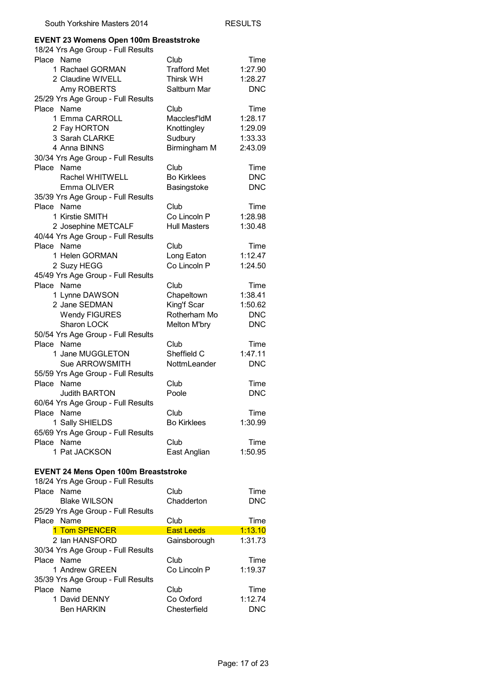## **EVENT 23 Womens Open 100m Breaststroke**

|                                             | EVENT 23 Womens Open 100m Breaststroke |                       |
|---------------------------------------------|----------------------------------------|-----------------------|
| 18/24 Yrs Age Group - Full Results          |                                        |                       |
| Place Name                                  | Club                                   | Time                  |
| 1 Rachael GORMAN                            | <b>Trafford Met</b>                    | 1:27.90               |
| 2 Claudine WIVELL                           | <b>Thirsk WH</b>                       | 1:28.27               |
| Amy ROBERTS                                 | Saltburn Mar                           | <b>DNC</b>            |
| 25/29 Yrs Age Group - Full Results          |                                        |                       |
| Place Name                                  | Club                                   | Time                  |
| 1 Emma CARROLL                              | Macclesf'ldM                           | 1:28.17               |
| 2 Fay HORTON                                | Knottingley                            | 1:29.09               |
| 3 Sarah CLARKE                              | Sudbury                                | 1:33.33               |
| 4 Anna BINNS                                | Birmingham M                           | 2:43.09               |
| 30/34 Yrs Age Group - Full Results          |                                        |                       |
| Place Name                                  | Club                                   | Time                  |
| Rachel WHITWELL                             | <b>Bo Kirklees</b>                     | <b>DNC</b>            |
| Emma OLIVER                                 | Basingstoke                            | <b>DNC</b>            |
|                                             |                                        |                       |
| 35/39 Yrs Age Group - Full Results          |                                        |                       |
| Place Name                                  | Club<br>Co Lincoln P                   | Time                  |
| 1 Kirstie SMITH                             |                                        | 1:28.98               |
| 2 Josephine METCALF                         | <b>Hull Masters</b>                    | 1:30.48               |
| 40/44 Yrs Age Group - Full Results          |                                        |                       |
| Place Name                                  | Club                                   | Time                  |
| 1 Helen GORMAN                              | Long Eaton                             | 1:12.47               |
| 2 Suzy HEGG                                 | Co Lincoln P                           | 1:24.50               |
| 45/49 Yrs Age Group - Full Results          |                                        |                       |
| Place Name                                  | Club                                   | Time                  |
| 1 Lynne DAWSON                              | Chapeltown                             | 1:38.41               |
| 2 Jane SEDMAN                               | King'f Scar                            | 1:50.62               |
| <b>Wendy FIGURES</b>                        | Rotherham Mo                           | <b>DNC</b>            |
| Sharon LOCK                                 | Melton M'bry                           | <b>DNC</b>            |
| 50/54 Yrs Age Group - Full Results          |                                        |                       |
| Place Name                                  | Club                                   | Time                  |
| 1 Jane MUGGLETON                            | Sheffield C                            | 1:47.11               |
|                                             |                                        |                       |
|                                             |                                        |                       |
| Sue ARROWSMITH                              | NottmLeander                           | <b>DNC</b>            |
| 55/59 Yrs Age Group - Full Results          |                                        |                       |
| Place<br>Name                               | Club                                   | Time                  |
| <b>Judith BARTON</b>                        | Poole                                  | <b>DNC</b>            |
| 60/64 Yrs Age Group - Full Results          |                                        |                       |
| Place Name                                  | Club                                   | Time                  |
| 1 Sally SHIELDS                             | <b>Bo Kirklees</b>                     | 1:30.99               |
| 65/69 Yrs Age Group - Full Results          |                                        |                       |
| Place Name                                  | Club                                   | Time                  |
| 1 Pat JACKSON                               | East Anglian                           | 1:50.95               |
|                                             |                                        |                       |
| <b>EVENT 24 Mens Open 100m Breaststroke</b> |                                        |                       |
| 18/24 Yrs Age Group - Full Results          |                                        |                       |
| Place<br>Name                               | Club                                   | Time                  |
|                                             | Chadderton                             | <b>DNC</b>            |
| <b>Blake WILSON</b>                         |                                        |                       |
| 25/29 Yrs Age Group - Full Results          |                                        |                       |
| Place Name                                  | Club                                   | Time                  |
| 1 Tom SPENCER                               | <b>East Leeds</b>                      | 1:13.10               |
| 2 Ian HANSFORD                              | Gainsborough                           | 1:31.73               |
| 30/34 Yrs Age Group - Full Results          |                                        |                       |
| Place Name                                  | Club                                   | Time                  |
| 1 Andrew GREEN                              | Co Lincoln P                           | 1:19.37               |
| 35/39 Yrs Age Group - Full Results          |                                        |                       |
| Place Name                                  | Club                                   | Time                  |
| 1 David DENNY<br><b>Ben HARKIN</b>          | Co Oxford<br>Chesterfield              | 1:12.74<br><b>DNC</b> |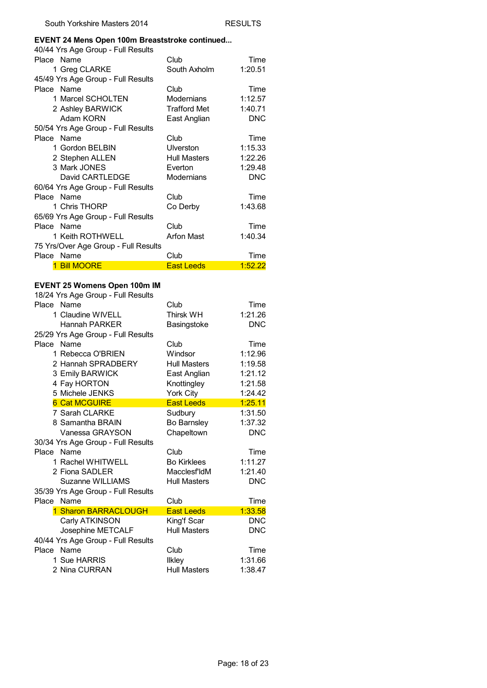#### **EVENT 24 Mens Open 100m Breaststroke continued...**

| 40/44 Yrs Age Group - Full Results   |                     |            |
|--------------------------------------|---------------------|------------|
| Place Name                           | Club                | Time       |
| 1 Greg CLARKE                        | South Axholm        | 1:20.51    |
| 45/49 Yrs Age Group - Full Results   |                     |            |
| Place Name                           | Club                | Time       |
| 1 Marcel SCHOLTEN                    | Modernians          | 1:12.57    |
| 2 Ashley BARWICK                     | Trafford Met        | 1:40.71    |
| Adam KORN                            | East Anglian        | <b>DNC</b> |
| 50/54 Yrs Age Group - Full Results   |                     |            |
| Place Name                           | Club                | Time       |
| 1 Gordon BELBIN                      | <b>Ulverston</b>    | 1:15.33    |
| 2 Stephen ALLEN                      | <b>Hull Masters</b> | 1:22.26    |
| 3 Mark JONES                         | Everton             | 1:29.48    |
| David CARTLEDGE                      | <b>Modernians</b>   | <b>DNC</b> |
| 60/64 Yrs Age Group - Full Results   |                     |            |
| Place Name                           | Club                | Time       |
| 1 Chris THORP                        | Co Derby            | 1:43.68    |
| 65/69 Yrs Age Group - Full Results   |                     |            |
| Place Name                           | Club                | Time       |
| 1 Keith ROTHWELL                     | Arfon Mast          | 1:40.34    |
| 75 Yrs/Over Age Group - Full Results |                     |            |
| Place Name                           | Club                | Time       |
| <b>Bill MOORE</b>                    | <b>East Leeds</b>   | 1:52.22    |

#### **EVENT 25 Womens Open 100m IM**

| 18/24 Yrs Age Group - Full Results |                     |            |
|------------------------------------|---------------------|------------|
| Place Name                         | Club                | Time       |
| 1 Claudine WIVELL                  | <b>Thirsk WH</b>    | 1:21.26    |
| Hannah PARKFR                      | Basingstoke         | <b>DNC</b> |
| 25/29 Yrs Age Group - Full Results |                     |            |
| Place Name                         | Club                | Time       |
| 1 Rebecca O'BRIEN                  | Windsor             | 1:12.96    |
| 2 Hannah SPRADBERY                 | <b>Hull Masters</b> | 1:19.58    |
| 3 Emily BARWICK                    | East Anglian        | 1:21.12    |
| 4 Fay HORTON                       | Knottingley         | 1:21.58    |
| 5 Michele JENKS                    | York City           | 1:24.42    |
| <b>6 Cat MCGUIRE</b>               | <b>East Leeds</b>   | 1:25.11    |
| 7 Sarah CLARKE                     | Sudbury             | 1:31.50    |
| 8 Samantha BRAIN                   | <b>Bo Barnsley</b>  | 1:37.32    |
| Vanessa GRAYSON                    | Chapeltown          | <b>DNC</b> |
| 30/34 Yrs Age Group - Full Results |                     |            |
| Place Name                         | Club                | Time       |
| 1 Rachel WHITWELL                  | <b>Bo Kirklees</b>  | 1:11.27    |
| 2 Fiona SADLER                     | Macclesf'ldM        | 1:21.40    |
| Suzanne WILLIAMS                   | <b>Hull Masters</b> | <b>DNC</b> |
| 35/39 Yrs Age Group - Full Results |                     |            |
| Name<br>Place                      | Club                | Time       |
| 1 Sharon BARRACLOUGH               | <b>East Leeds</b>   | 1:33.58    |
| Carly ATKINSON                     | King'f Scar         | <b>DNC</b> |
| Josephine METCALF                  | <b>Hull Masters</b> | <b>DNC</b> |
| 40/44 Yrs Age Group - Full Results |                     |            |
| Place Name                         | Club                | Time       |
| 1 Sue HARRIS                       | <b>Ilkley</b>       | 1:31.66    |
| 2 Nina CURRAN                      | <b>Hull Masters</b> | 1:38.47    |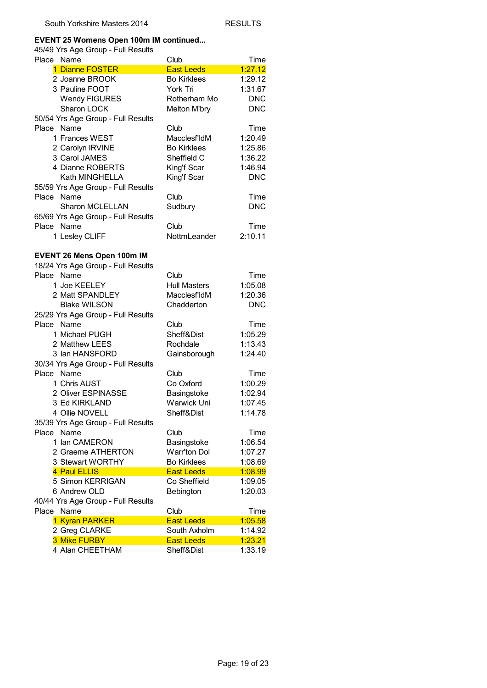#### **EVENT 25 Womens Open 100m IM continued...**

| בוויס ראט ו - טוטען סער פון פ <del>ר</del> וטי<br>Place Name | Club                        | Time               |
|--------------------------------------------------------------|-----------------------------|--------------------|
| 1 Dianne FOSTER                                              | <b>East Leeds</b>           | 1:27.12            |
| 2 Joanne BROOK                                               | <b>Bo Kirklees</b>          | 1:29.12            |
| 3 Pauline FOOT                                               | York Tri                    | 1:31.67            |
| <b>Wendy FIGURES</b>                                         | Rotherham Mo                | <b>DNC</b>         |
| Sharon LOCK                                                  | Melton M'bry                | <b>DNC</b>         |
|                                                              |                             |                    |
| 50/54 Yrs Age Group - Full Results<br>Place Name             | Club                        |                    |
| 1 Frances WEST                                               |                             | Time<br>1:20.49    |
|                                                              | Macclesf'ldM                |                    |
| 2 Carolyn IRVINE                                             | <b>Bo Kirklees</b>          | 1:25.86            |
| 3 Carol JAMES                                                | Sheffield C                 | 1:36.22            |
| 4 Dianne ROBERTS                                             | King'f Scar                 | 1:46.94            |
| Kath MINGHELLA                                               | King'f Scar                 | <b>DNC</b>         |
| 55/59 Yrs Age Group - Full Results                           |                             |                    |
| Place Name                                                   | Club                        | Time               |
| <b>Sharon MCLELLAN</b>                                       | Sudbury                     | <b>DNC</b>         |
| 65/69 Yrs Age Group - Full Results                           |                             |                    |
| Place Name                                                   | Club                        | Time               |
| 1 Lesley CLIFF                                               | NottmLeander                | 2:10.11            |
| EVENT 26 Mens Open 100m IM                                   |                             |                    |
| 18/24 Yrs Age Group - Full Results                           |                             |                    |
| Place Name                                                   | Club                        | Time               |
| 1 Joe KEELEY                                                 | <b>Hull Masters</b>         | 1:05.08            |
| 2 Matt SPANDLEY                                              | Macclesf'ldM                | 1:20.36            |
| <b>Blake WILSON</b>                                          | Chadderton                  | <b>DNC</b>         |
| 25/29 Yrs Age Group - Full Results                           |                             |                    |
| Place Name                                                   | Club                        | Time               |
| 1 Michael PUGH                                               | Sheff&Dist                  | 1:05.29            |
| 2 Matthew LEES                                               | Rochdale                    | 1:13.43            |
| 3 Ian HANSFORD                                               | Gainsborough                | 1:24.40            |
| 30/34 Yrs Age Group - Full Results                           |                             |                    |
| Place Name                                                   | Club                        | Time               |
| 1 Chris AUST                                                 | Co Oxford                   | 1:00.29            |
| 2 Oliver ESPINASSE                                           | Basingstoke                 | 1:02.94            |
| 3 Ed KIRKLAND                                                | Warwick Uni                 |                    |
| 4 Ollie NOVELL                                               | Sheff&Dist                  | 1:07.45<br>1:14.78 |
| 35/39 Yrs Age Group - Full Results                           |                             |                    |
| Place Name                                                   | Club                        | Time               |
| 1 Ian CAMERON                                                |                             |                    |
| 2 Graeme ATHERTON                                            | Basingstoke<br>Warr'ton Dol | 1:06.54            |
|                                                              |                             | 1:07.27            |
| 3 Stewart WORTHY                                             | <b>Bo Kirklees</b>          | 1:08.69            |
| 4 Paul ELLIS                                                 | <b>East Leeds</b>           | 1:08.99            |
| 5 Simon KERRIGAN                                             | Co Sheffield                | 1:09.05            |
| 6 Andrew OLD                                                 | Bebington                   | 1:20.03            |
| 40/44 Yrs Age Group - Full Results<br>Place Name             | Club                        | Time               |
|                                                              | <b>East Leeds</b>           | 1:05.58            |
| 1 Kyran PARKER                                               | South Axholm                | 1:14.92            |
| 2 Greg CLARKE<br>3 Mike FURBY                                |                             |                    |
|                                                              | <b>East Leeds</b>           | 1:23.21            |
| 4 Alan CHEETHAM                                              | Sheff&Dist                  | 1:33.19            |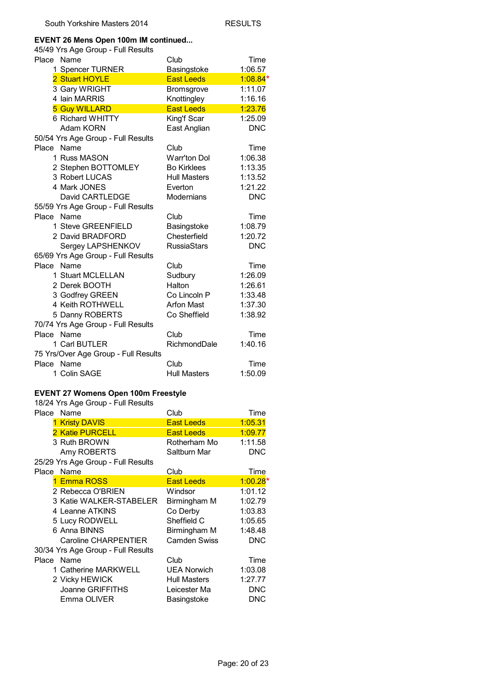#### **EVENT 26 Mens Open 100m IM continued...**

| 45/49 Yrs Age Group - Full Results   |                     |            |
|--------------------------------------|---------------------|------------|
| Name<br>Place                        | Club                | Time       |
| 1 Spencer TURNER                     | Basingstoke         | 1:06.57    |
| 2 Stuart HOYLE                       | <b>East Leeds</b>   | $1:08.84*$ |
| 3 Gary WRIGHT                        | Bromsgrove          | 1:11.07    |
| 4 Iain MARRIS                        | Knottingley         | 1:16.16    |
| <b>5 Guy WILLARD</b>                 | <b>East Leeds</b>   | 1:23.76    |
| 6 Richard WHITTY                     | King'f Scar         | 1:25.09    |
| Adam KORN                            | East Anglian        | <b>DNC</b> |
| 50/54 Yrs Age Group - Full Results   |                     |            |
| Place<br>Name                        | Club                | Time       |
| 1 Russ MASON                         | Warr'ton Dol        | 1:06.38    |
| 2 Stephen BOTTOMLEY                  | <b>Bo Kirklees</b>  | 1:13.35    |
| 3 Robert LUCAS                       | <b>Hull Masters</b> | 1:13.52    |
| 4 Mark JONES                         | Everton             | 1:21.22    |
| David CARTLEDGE                      | Modernians          | <b>DNC</b> |
| 55/59 Yrs Age Group - Full Results   |                     |            |
| Place Name                           | Club                | Time       |
| 1 Steve GREENFIELD                   | Basingstoke         | 1:08.79    |
| 2 David BRADFORD                     | Chesterfield        | 1:20.72    |
| Sergey LAPSHENKOV                    | <b>RussiaStars</b>  | <b>DNC</b> |
| 65/69 Yrs Age Group - Full Results   |                     |            |
| Name<br>Place                        | Club                | Time       |
| 1 Stuart MCLELLAN                    | Sudbury             | 1:26.09    |
| 2 Derek BOOTH                        | Halton              | 1:26.61    |
| 3 Godfrey GREEN                      | Co Lincoln P        | 1:33.48    |
| 4 Keith ROTHWELL                     | <b>Arfon Mast</b>   | 1:37.30    |
| 5 Danny ROBERTS                      | Co Sheffield        | 1:38.92    |
| 70/74 Yrs Age Group - Full Results   |                     |            |
| Name<br>Place                        | Club                | Time       |
| 1 Carl BUTLER                        | RichmondDale        | 1:40.16    |
| 75 Yrs/Over Age Group - Full Results |                     |            |
| Name<br>Place                        | Club                | Time       |
| 1 Colin SAGE                         | <b>Hull Masters</b> | 1:50.09    |

#### **EVENT 27 Womens Open 100m Freestyle**

| Place Name                         | Club                | Time       |
|------------------------------------|---------------------|------------|
| <b>1 Kristy DAVIS</b>              | <b>East Leeds</b>   | 1:05.31    |
| 2 Katie PURCELL                    | <b>East Leeds</b>   | 1:09.77    |
| 3 Ruth BROWN                       | Rotherham Mo        | 1:11.58    |
| Amy ROBERTS                        | Saltburn Mar        | <b>DNC</b> |
| 25/29 Yrs Age Group - Full Results |                     |            |
| Place Name                         | Club                | Time       |
| 1 Emma ROSS                        | <b>East Leeds</b>   | $1:00.28*$ |
| 2 Rebecca O'BRIEN                  | Windsor             | 1:01.12    |
| 3 Katie WALKER-STABELER            | Birmingham M        | 1:02.79    |
| 4 Leanne ATKINS                    | Co Derby            | 1:03.83    |
| 5 Lucy RODWELL                     | Sheffield C         | 1:05.65    |
| 6 Anna BINNS                       | Birmingham M        | 1:48.48    |
| Caroline CHARPENTIER               | <b>Camden Swiss</b> | <b>DNC</b> |
| 30/34 Yrs Age Group - Full Results |                     |            |
| Place Name                         | Club                | Time       |
| 1 Catherine MARKWELL               | <b>UEA Norwich</b>  | 1:03.08    |
| 2 Vicky HEWICK                     | Hull Masters        | 1:27.77    |
| Joanne GRIFFITHS                   | Leicester Ma        | <b>DNC</b> |
| Emma OLIVER                        | Basingstoke         | <b>DNC</b> |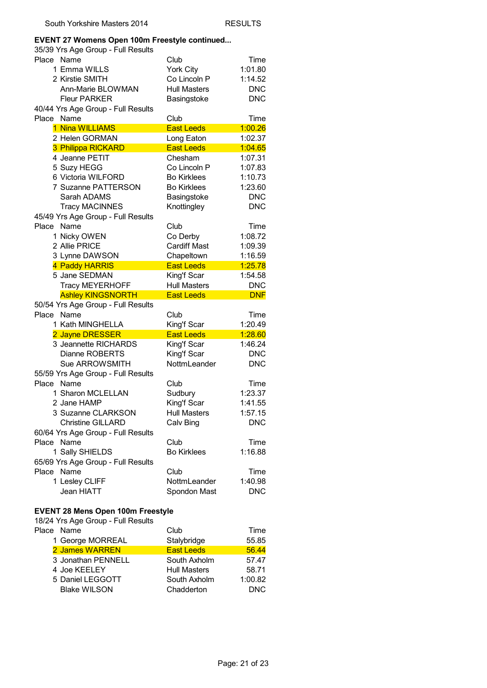#### **EVENT 27 Womens Open 100m Freestyle continued...**

| 35/39 Yrs Age Group - Full Results |                     |            |
|------------------------------------|---------------------|------------|
| Name<br>Place                      | Club                | Time       |
| 1 Emma WILLS                       | York City           | 1:01.80    |
| 2 Kirstie SMITH                    | Co Lincoln P        | 1:14.52    |
| Ann-Marie BLOWMAN                  | <b>Hull Masters</b> | <b>DNC</b> |
| <b>Fleur PARKER</b>                | Basingstoke         | <b>DNC</b> |
| 40/44 Yrs Age Group - Full Results |                     |            |
| Place<br>Name                      | Club                | Time       |
| 1 Nina WILLIAMS                    | <b>East Leeds</b>   | 1:00.26    |
| 2 Helen GORMAN                     | Long Eaton          | 1:02.37    |
| 3 Philippa RICKARD                 | <b>East Leeds</b>   | 1:04.65    |
| 4 Jeanne PETIT                     | Chesham             | 1:07.31    |
| 5 Suzy HEGG                        | Co Lincoln P        | 1:07.83    |
| 6 Victoria WILFORD                 | <b>Bo Kirklees</b>  | 1:10.73    |
| 7 Suzanne PATTERSON                | <b>Bo Kirklees</b>  | 1:23.60    |
| Sarah ADAMS                        | Basingstoke         | <b>DNC</b> |
| <b>Tracy MACINNES</b>              | Knottingley         | <b>DNC</b> |
| 45/49 Yrs Age Group - Full Results |                     |            |
| Place<br>Name                      | Club                | Time       |
| 1 Nicky OWEN                       | Co Derby            | 1:08.72    |
| 2 Allie PRICE                      | <b>Cardiff Mast</b> |            |
|                                    |                     | 1:09.39    |
| 3 Lynne DAWSON                     | Chapeltown          | 1:16.59    |
| 4 Paddy HARRIS                     | <b>East Leeds</b>   | 1:25.78    |
| 5 Jane SEDMAN                      | King'f Scar         | 1:54.58    |
| <b>Tracy MEYERHOFF</b>             | <b>Hull Masters</b> | <b>DNC</b> |
| <b>Ashley KINGSNORTH</b>           | <b>East Leeds</b>   | <b>DNF</b> |
| 50/54 Yrs Age Group - Full Results |                     |            |
| Name<br>Place                      | Club                | Time       |
| 1 Kath MINGHELLA                   | King'f Scar         | 1:20.49    |
| 2 Jayne DRESSER                    | <b>East Leeds</b>   | 1:28.60    |
| 3 Jeannette RICHARDS               | King'f Scar         | 1:46.24    |
| Dianne ROBERTS                     | King'f Scar         | <b>DNC</b> |
| Sue ARROWSMITH                     | NottmLeander        | <b>DNC</b> |
| 55/59 Yrs Age Group - Full Results |                     |            |
| Name<br>Place                      | Club                | Time       |
| 1 Sharon MCLELLAN                  | Sudbury             | 1:23.37    |
| 2 Jane HAMP                        | King'f Scar         | 1:41.55    |
| 3 Suzanne CLARKSON                 | <b>Hull Masters</b> | 1:57.15    |
| <b>Christine GILLARD</b>           | Calv Bing           | <b>DNC</b> |
| 60/64 Yrs Age Group - Full Results |                     |            |
| Name<br>Place                      | Club                | Time       |
| 1 Sally SHIELDS                    | <b>Bo Kirklees</b>  | 1:16.88    |
| 65/69 Yrs Age Group - Full Results |                     |            |
| Name<br>Place                      | Club                | Time       |
| 1 Lesley CLIFF                     | NottmLeander        | 1:40.98    |
| Jean HIATT                         | Spondon Mast        | <b>DNC</b> |

#### **EVENT 28 Mens Open 100m Freestyle**

| Place Name          | Club                | Time       |
|---------------------|---------------------|------------|
| 1 George MORREAL    | Stalybridge         | 55.85      |
| 2 James WARREN      | <b>East Leeds</b>   | 56.44      |
| 3 Jonathan PENNELL  | South Axholm        | 57.47      |
| 4 Joe KEELEY        | <b>Hull Masters</b> | 58.71      |
| 5 Daniel LEGGOTT    | South Axholm        | 1:00.82    |
| <b>Blake WILSON</b> | Chadderton          | <b>DNC</b> |
|                     |                     |            |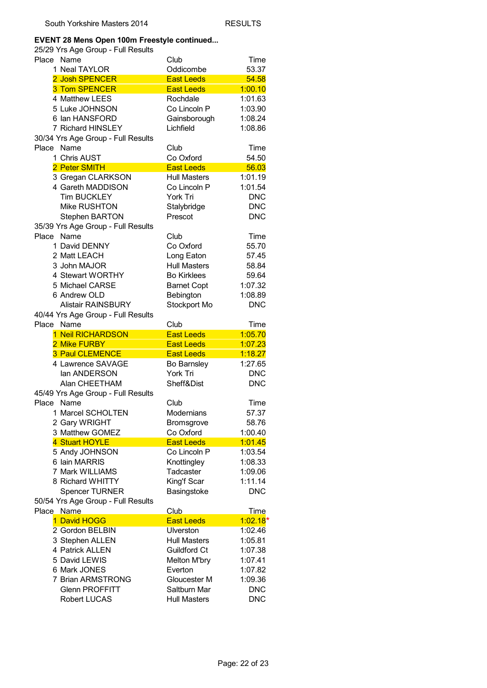#### **EVENT 28 Mens Open 100m Freestyle continued...**

|       | 25/29 Yrs Age Group - Full Results          |                            |                    |
|-------|---------------------------------------------|----------------------------|--------------------|
| Place | Name                                        | Club                       | Time               |
|       | 1 Neal TAYLOR                               | Oddicombe                  | 53.37              |
|       | 2 Josh SPENCER                              | <b>East Leeds</b>          | 54.58              |
|       | <b>3 Tom SPENCER</b>                        | <b>East Leeds</b>          | 1:00.10            |
|       | 4 Matthew LEES                              | Rochdale                   | 1:01.63            |
|       | 5 Luke JOHNSON                              | Co Lincoln P               | 1:03.90            |
|       | 6 Ian HANSFORD                              | Gainsborough               | 1:08.24            |
|       | 7 Richard HINSLEY                           | Lichfield                  | 1:08.86            |
|       | 30/34 Yrs Age Group - Full Results          |                            |                    |
| Place | Name                                        | Club                       | Time               |
|       | 1 Chris AUST                                | Co Oxford                  | 54.50              |
|       | 2 Peter SMITH                               | <b>East Leeds</b>          | 56.03              |
|       | 3 Gregan CLARKSON                           | <b>Hull Masters</b>        | 1:01.19            |
|       | 4 Gareth MADDISON                           | Co Lincoln P               | 1:01.54            |
|       | <b>Tim BUCKLEY</b>                          | York Tri                   | <b>DNC</b>         |
|       | Mike RUSHTON                                | Stalybridge                | <b>DNC</b>         |
|       | <b>Stephen BARTON</b>                       | Prescot                    | <b>DNC</b>         |
|       | 35/39 Yrs Age Group - Full Results          |                            |                    |
| Place | Name                                        | Club                       | Time               |
|       | 1 David DENNY                               | Co Oxford                  | 55.70              |
|       | 2 Matt LEACH                                | Long Eaton                 | 57.45              |
|       | 3 John MAJOR                                | <b>Hull Masters</b>        | 58.84              |
|       | 4 Stewart WORTHY                            | <b>Bo Kirklees</b>         | 59.64              |
|       | 5 Michael CARSE                             | <b>Barnet Copt</b>         | 1:07.32            |
|       | 6 Andrew OLD                                | Bebington                  | 1:08.89            |
|       | <b>Alistair RAINSBURY</b>                   | Stockport Mo               | <b>DNC</b>         |
|       | 40/44 Yrs Age Group - Full Results          |                            |                    |
| Place |                                             |                            |                    |
|       |                                             |                            |                    |
|       | Name                                        | Club                       | Time               |
|       | 1 Neil RICHARDSON                           | <b>East Leeds</b>          | 1:05.70            |
|       | 2 Mike FURBY                                | <b>East Leeds</b>          | 1:07.23            |
|       | <b>3 Paul CLEMENCE</b><br>4 Lawrence SAVAGE | <b>East Leeds</b>          | 1:18.27<br>1:27.65 |
|       | lan ANDERSON                                | Bo Barnsley<br>York Tri    | <b>DNC</b>         |
|       | Alan CHEETHAM                               | Sheff&Dist                 | <b>DNC</b>         |
|       |                                             |                            |                    |
| Place | 45/49 Yrs Age Group - Full Results<br>Name  | Club                       |                    |
|       |                                             |                            | Time               |
|       | 1 Marcel SCHOLTEN                           | Modernians                 | 57.37<br>58.76     |
|       | 2 Gary WRIGHT<br>3 Matthew GOMEZ            | Bromsgrove<br>Co Oxford    | 1:00.40            |
|       | 4 Stuart HOYLE                              | <b>East Leeds</b>          | 1:01.45            |
|       |                                             | Co Lincoln P               |                    |
|       | 5 Andy JOHNSON<br>6 Iain MARRIS             |                            | 1:03.54<br>1:08.33 |
|       | 7 Mark WILLIAMS                             | Knottingley<br>Tadcaster   | 1:09.06            |
|       | 8 Richard WHITTY                            |                            | 1:11.14            |
|       |                                             | King'f Scar<br>Basingstoke | <b>DNC</b>         |
|       | <b>Spencer TURNER</b>                       |                            |                    |
| Place | 50/54 Yrs Age Group - Full Results<br>Name  | Club                       | <b>Time</b>        |
|       | 1 David HOGG                                | <b>East Leeds</b>          | $1:02.18*$         |
|       | 2 Gordon BELBIN                             | Ulverston                  | 1:02.46            |
|       | 3 Stephen ALLEN                             | <b>Hull Masters</b>        | 1:05.81            |
|       | 4 Patrick ALLEN                             | Guildford Ct               | 1:07.38            |
|       | 5 David LEWIS                               | Melton M'bry               | 1:07.41            |
|       | 6 Mark JONES                                | Everton                    | 1:07.82            |
|       | 7 Brian ARMSTRONG                           | Gloucester M               | 1:09.36            |
|       | <b>Glenn PROFFITT</b>                       | Saltburn Mar               | <b>DNC</b>         |